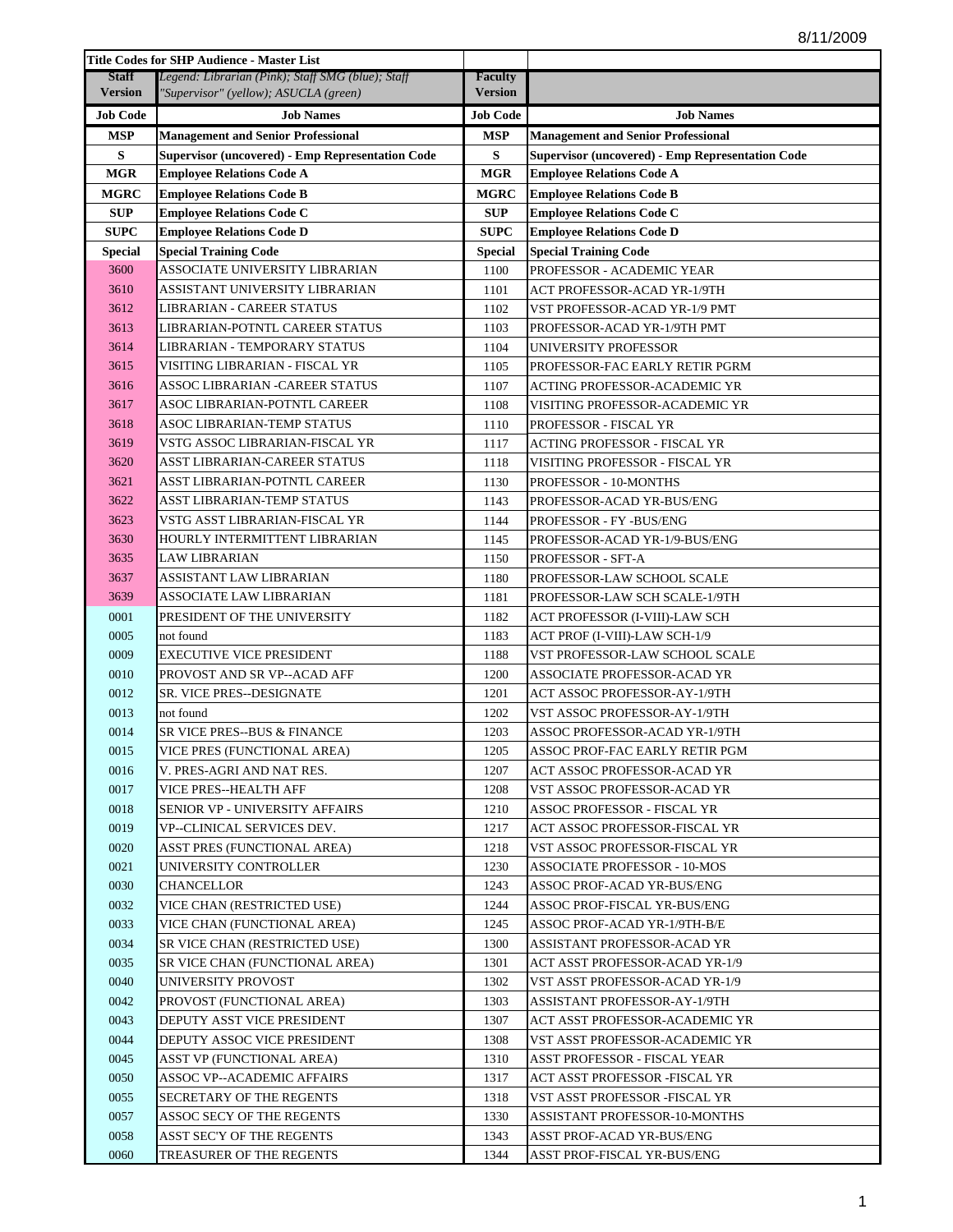|                 | <b>Title Codes for SHP Audience - Master List</b>       |                 |                                                         |
|-----------------|---------------------------------------------------------|-----------------|---------------------------------------------------------|
| <b>Staff</b>    | Legend: Librarian (Pink); Staff SMG (blue); Staff       | <b>Faculty</b>  |                                                         |
| <b>Version</b>  | "Supervisor" (yellow); ASUCLA (green)                   | <b>Version</b>  |                                                         |
| <b>Job Code</b> | <b>Job Names</b>                                        | <b>Job Code</b> | <b>Job Names</b>                                        |
| <b>MSP</b>      | <b>Management and Senior Professional</b>               | <b>MSP</b>      | <b>Management and Senior Professional</b>               |
| S               | <b>Supervisor (uncovered) - Emp Representation Code</b> | S               | <b>Supervisor (uncovered) - Emp Representation Code</b> |
| <b>MGR</b>      | <b>Employee Relations Code A</b>                        | <b>MGR</b>      | <b>Employee Relations Code A</b>                        |
| <b>MGRC</b>     | <b>Employee Relations Code B</b>                        | <b>MGRC</b>     | <b>Employee Relations Code B</b>                        |
| <b>SUP</b>      | <b>Employee Relations Code C</b>                        | <b>SUP</b>      | <b>Employee Relations Code C</b>                        |
| <b>SUPC</b>     | <b>Employee Relations Code D</b>                        | <b>SUPC</b>     | <b>Employee Relations Code D</b>                        |
| <b>Special</b>  | <b>Special Training Code</b>                            | <b>Special</b>  | <b>Special Training Code</b>                            |
| 3600            | ASSOCIATE UNIVERSITY LIBRARIAN                          | 1100            | PROFESSOR - ACADEMIC YEAR                               |
| 3610            | ASSISTANT UNIVERSITY LIBRARIAN                          | 1101            | ACT PROFESSOR-ACAD YR-1/9TH                             |
| 3612            | LIBRARIAN - CAREER STATUS                               | 1102            | VST PROFESSOR-ACAD YR-1/9 PMT                           |
| 3613            | LIBRARIAN-POTNTL CAREER STATUS                          | 1103            | PROFESSOR-ACAD YR-1/9TH PMT                             |
| 3614            | LIBRARIAN - TEMPORARY STATUS                            | 1104            | UNIVERSITY PROFESSOR                                    |
| 3615            | VISITING LIBRARIAN - FISCAL YR                          | 1105            | PROFESSOR-FAC EARLY RETIR PGRM                          |
| 3616            | ASSOC LIBRARIAN -CAREER STATUS                          | 1107            | ACTING PROFESSOR-ACADEMIC YR                            |
| 3617            | ASOC LIBRARIAN-POTNTL CAREER                            | 1108            | VISITING PROFESSOR-ACADEMIC YR                          |
| 3618            | ASOC LIBRARIAN-TEMP STATUS                              | 1110            | PROFESSOR - FISCAL YR                                   |
| 3619            | VSTG ASSOC LIBRARIAN-FISCAL YR                          | 1117            | ACTING PROFESSOR - FISCAL YR                            |
| 3620            | ASST LIBRARIAN-CAREER STATUS                            | 1118            | VISITING PROFESSOR - FISCAL YR                          |
| 3621            | ASST LIBRARIAN-POTNTL CAREER                            | 1130            | PROFESSOR - 10-MONTHS                                   |
| 3622            | ASST LIBRARIAN-TEMP STATUS                              | 1143            | PROFESSOR-ACAD YR-BUS/ENG                               |
| 3623            | VSTG ASST LIBRARIAN-FISCAL YR                           | 1144            | PROFESSOR - FY -BUS/ENG                                 |
| 3630            | HOURLY INTERMITTENT LIBRARIAN                           | 1145            | PROFESSOR-ACAD YR-1/9-BUS/ENG                           |
| 3635            | LAW LIBRARIAN                                           | 1150            | PROFESSOR - SFT-A                                       |
| 3637            | ASSISTANT LAW LIBRARIAN                                 | 1180            | PROFESSOR-LAW SCHOOL SCALE                              |
| 3639            | ASSOCIATE LAW LIBRARIAN                                 | 1181            | PROFESSOR-LAW SCH SCALE-1/9TH                           |
| 0001            | PRESIDENT OF THE UNIVERSITY                             | 1182            | ACT PROFESSOR (I-VIII)-LAW SCH                          |
| 0005            | not found                                               | 1183            | ACT PROF (I-VIII)-LAW SCH-1/9                           |
| 0009            | EXECUTIVE VICE PRESIDENT                                | 1188            | VST PROFESSOR-LAW SCHOOL SCALE                          |
| 0010            | PROVOST AND SR VP--ACAD AFF                             | 1200            | ASSOCIATE PROFESSOR-ACAD YR                             |
| 0012            | SR. VICE PRES--DESIGNATE                                | 1201            | ACT ASSOC PROFESSOR-AY-1/9TH                            |
| 0013            | not found                                               | 1202            | VST ASSOC PROFESSOR-AY-1/9TH                            |
| 0014            | SR VICE PRES--BUS & FINANCE                             | 1203            | ASSOC PROFESSOR-ACAD YR-1/9TH                           |
| 0015            | VICE PRES (FUNCTIONAL AREA)                             | 1205            | ASSOC PROF-FAC EARLY RETIR PGM                          |
| 0016            | V. PRES-AGRI AND NAT RES.                               | 1207            | ACT ASSOC PROFESSOR-ACAD YR                             |
| 0017            | VICE PRES--HEALTH AFF                                   | 1208            | VST ASSOC PROFESSOR-ACAD YR                             |
| 0018            | SENIOR VP - UNIVERSITY AFFAIRS                          | 1210            | ASSOC PROFESSOR - FISCAL YR                             |
| 0019            | VP--CLINICAL SERVICES DEV.                              | 1217            | ACT ASSOC PROFESSOR-FISCAL YR                           |
| 0020            | ASST PRES (FUNCTIONAL AREA)                             | 1218            | VST ASSOC PROFESSOR-FISCAL YR                           |
| 0021            | UNIVERSITY CONTROLLER                                   | 1230            | ASSOCIATE PROFESSOR - 10-MOS                            |
| 0030            | CHANCELLOR                                              | 1243            | ASSOC PROF-ACAD YR-BUS/ENG                              |
| 0032            | VICE CHAN (RESTRICTED USE)                              | 1244            | ASSOC PROF-FISCAL YR-BUS/ENG                            |
| 0033            | VICE CHAN (FUNCTIONAL AREA)                             | 1245            | ASSOC PROF-ACAD YR-1/9TH-B/E                            |
| 0034            | SR VICE CHAN (RESTRICTED USE)                           | 1300            | ASSISTANT PROFESSOR-ACAD YR                             |
| 0035            | SR VICE CHAN (FUNCTIONAL AREA)                          | 1301            | ACT ASST PROFESSOR-ACAD YR-1/9                          |
| 0040            | UNIVERSITY PROVOST                                      | 1302            | VST ASST PROFESSOR-ACAD YR-1/9                          |
| 0042            | PROVOST (FUNCTIONAL AREA)                               | 1303            | ASSISTANT PROFESSOR-AY-1/9TH                            |
| 0043            | DEPUTY ASST VICE PRESIDENT                              | 1307            | ACT ASST PROFESSOR-ACADEMIC YR                          |
| 0044            | DEPUTY ASSOC VICE PRESIDENT                             | 1308            | VST ASST PROFESSOR-ACADEMIC YR                          |
| 0045            | ASST VP (FUNCTIONAL AREA)                               | 1310            | ASST PROFESSOR - FISCAL YEAR                            |
| 0050            | ASSOC VP--ACADEMIC AFFAIRS                              | 1317            | ACT ASST PROFESSOR -FISCAL YR                           |
| 0055            | SECRETARY OF THE REGENTS                                | 1318            | VST ASST PROFESSOR -FISCAL YR                           |
| 0057            | ASSOC SECY OF THE REGENTS                               | 1330            | ASSISTANT PROFESSOR-10-MONTHS                           |
| 0058            | ASST SEC'Y OF THE REGENTS                               | 1343            | ASST PROF-ACAD YR-BUS/ENG                               |
| 0060            | TREASURER OF THE REGENTS                                | 1344            | ASST PROF-FISCAL YR-BUS/ENG                             |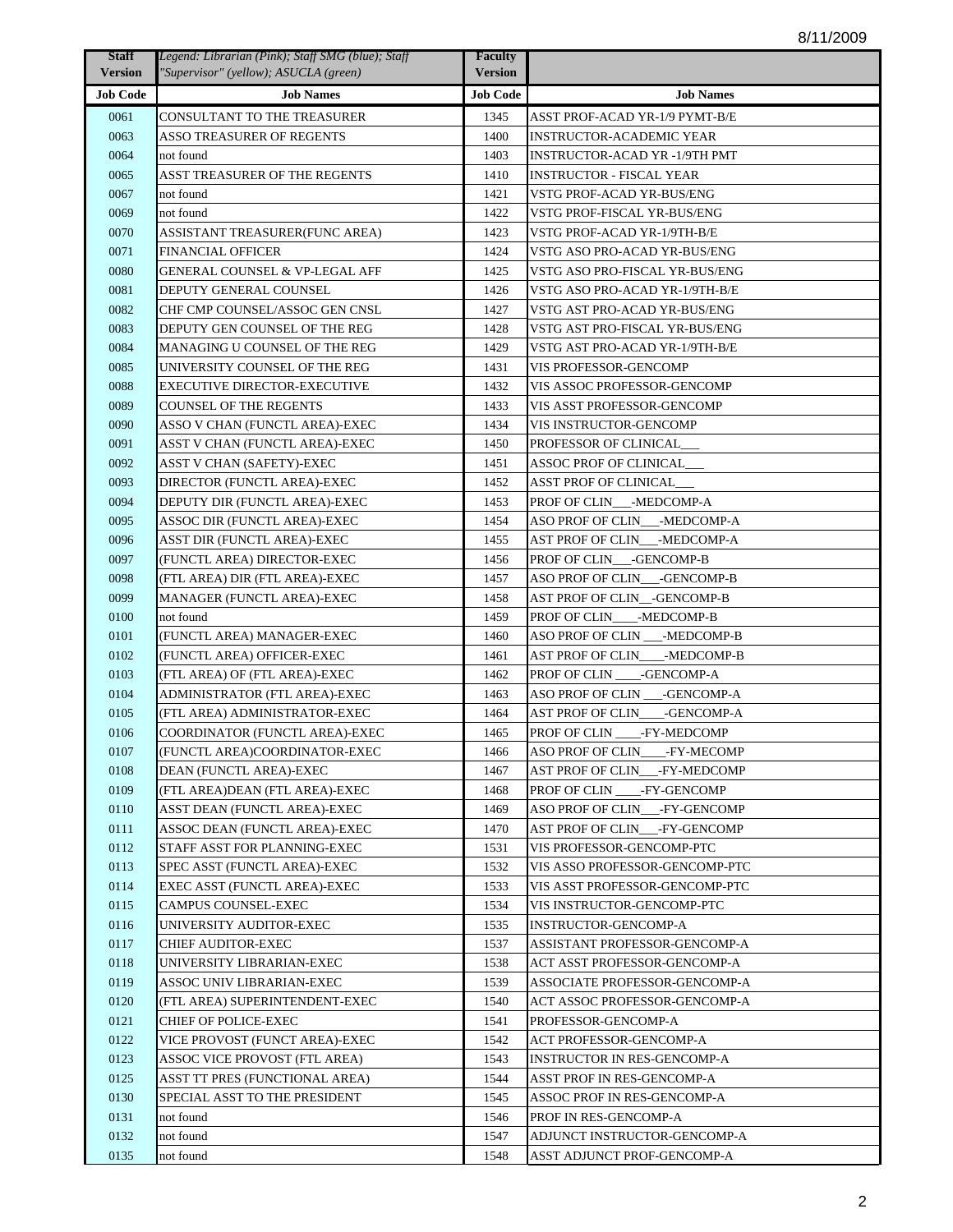| <b>Staff</b>    | Legend: Librarian (Pink); Staff SMG (blue); Staff | <b>Faculty</b>  |                                 |
|-----------------|---------------------------------------------------|-----------------|---------------------------------|
| <b>Version</b>  | "Supervisor" (yellow); ASUCLA (green)             | <b>Version</b>  |                                 |
| <b>Job Code</b> | <b>Job Names</b>                                  | <b>Job Code</b> | <b>Job Names</b>                |
| 0061            | CONSULTANT TO THE TREASURER                       | 1345            | ASST PROF-ACAD YR-1/9 PYMT-B/E  |
| 0063            | ASSO TREASURER OF REGENTS                         | 1400            | <b>INSTRUCTOR-ACADEMIC YEAR</b> |
| 0064            | not found                                         | 1403            | INSTRUCTOR-ACAD YR -1/9TH PMT   |
| 0065            | ASST TREASURER OF THE REGENTS                     | 1410            | INSTRUCTOR - FISCAL YEAR        |
| 0067            | not found                                         | 1421            | VSTG PROF-ACAD YR-BUS/ENG       |
| 0069            | not found                                         | 1422            | VSTG PROF-FISCAL YR-BUS/ENG     |
| 0070            | ASSISTANT TREASURER(FUNC AREA)                    | 1423            | VSTG PROF-ACAD YR-1/9TH-B/E     |
| 0071            | <b>FINANCIAL OFFICER</b>                          | 1424            | VSTG ASO PRO-ACAD YR-BUS/ENG    |
| 0080            | <b>GENERAL COUNSEL &amp; VP-LEGAL AFF</b>         | 1425            | VSTG ASO PRO-FISCAL YR-BUS/ENG  |
| 0081            | DEPUTY GENERAL COUNSEL                            | 1426            | VSTG ASO PRO-ACAD YR-1/9TH-B/E  |
| 0082            | CHF CMP COUNSEL/ASSOC GEN CNSL                    | 1427            | VSTG AST PRO-ACAD YR-BUS/ENG    |
| 0083            | DEPUTY GEN COUNSEL OF THE REG                     | 1428            | VSTG AST PRO-FISCAL YR-BUS/ENG  |
| 0084            | MANAGING U COUNSEL OF THE REG                     | 1429            | VSTG AST PRO-ACAD YR-1/9TH-B/E  |
| 0085            | UNIVERSITY COUNSEL OF THE REG                     | 1431            | VIS PROFESSOR-GENCOMP           |
| 0088            | <b>EXECUTIVE DIRECTOR-EXECUTIVE</b>               | 1432            | VIS ASSOC PROFESSOR-GENCOMP     |
| 0089            | <b>COUNSEL OF THE REGENTS</b>                     | 1433            | VIS ASST PROFESSOR-GENCOMP      |
| 0090            | ASSO V CHAN (FUNCTL AREA)-EXEC                    | 1434            | VIS INSTRUCTOR-GENCOMP          |
| 0091            | ASST V CHAN (FUNCTL AREA)-EXEC                    | 1450            | PROFESSOR OF CLINICAL           |
| 0092            | ASST V CHAN (SAFETY)-EXEC                         | 1451            | ASSOC PROF OF CLINICAL          |
| 0093            | DIRECTOR (FUNCTL AREA)-EXEC                       | 1452            | ASST PROF OF CLINICAL           |
| 0094            | DEPUTY DIR (FUNCTL AREA)-EXEC                     | 1453            | PROF OF CLIN___-MEDCOMP-A       |
| 0095            | ASSOC DIR (FUNCTL AREA)-EXEC                      | 1454            | ASO PROF OF CLIN___-MEDCOMP-A   |
| 0096            | ASST DIR (FUNCTL AREA)-EXEC                       | 1455            | AST PROF OF CLIN___-MEDCOMP-A   |
| 0097            | (FUNCTL AREA) DIRECTOR-EXEC                       | 1456            | PROF OF CLIN -GENCOMP-B         |
| 0098            | (FTL AREA) DIR (FTL AREA)-EXEC                    | 1457            | ASO PROF OF CLIN___-GENCOMP-B   |
| 0099            | MANAGER (FUNCTL AREA)-EXEC                        | 1458            | AST PROF OF CLIN_-GENCOMP-B     |
| 0100            | not found                                         | 1459            | PROF OF CLIN____-MEDCOMP-B      |
| 0101            | (FUNCTL AREA) MANAGER-EXEC                        | 1460            | ASO PROF OF CLIN ___-MEDCOMP-B  |
| 0102            | (FUNCTL AREA) OFFICER-EXEC                        | 1461            | AST PROF OF CLIN____-MEDCOMP-B  |
| 0103            | (FTL AREA) OF (FTL AREA)-EXEC                     | 1462            | PROF OF CLIN -GENCOMP-A         |
| 0104            | ADMINISTRATOR (FTL AREA)-EXEC                     | 1463            | ASO PROF OF CLIN ___- GENCOMP-A |
| 0105            | (FTL AREA) ADMINISTRATOR-EXEC                     | 1464            | AST PROF OF CLIN - GENCOMP-A    |
| 0106            | COORDINATOR (FUNCTL AREA)-EXEC                    | 1465            | PROF OF CLIN ____-FY-MEDCOMP    |
| 0107            | (FUNCTL AREA)COORDINATOR-EXEC                     | 1466            | ASO PROF OF CLIN____-FY-MECOMP  |
| 0108            | DEAN (FUNCTL AREA)-EXEC                           | 1467            | AST PROF OF CLIN___-FY-MEDCOMP  |
| 0109            | (FTL AREA)DEAN (FTL AREA)-EXEC                    | 1468            | PROF OF CLIN _____-FY-GENCOMP   |
| 0110            | ASST DEAN (FUNCTL AREA)-EXEC                      | 1469            | ASO PROF OF CLIN___-FY-GENCOMP  |
| 0111            | ASSOC DEAN (FUNCTL AREA)-EXEC                     | 1470            | AST PROF OF CLIN___-FY-GENCOMP  |
| 0112            | STAFF ASST FOR PLANNING-EXEC                      | 1531            | VIS PROFESSOR-GENCOMP-PTC       |
| 0113            | SPEC ASST (FUNCTL AREA)-EXEC                      | 1532            | VIS ASSO PROFESSOR-GENCOMP-PTC  |
| 0114            | EXEC ASST (FUNCTL AREA)-EXEC                      | 1533            | VIS ASST PROFESSOR-GENCOMP-PTC  |
| 0115            | CAMPUS COUNSEL-EXEC                               | 1534            | VIS INSTRUCTOR-GENCOMP-PTC      |
| 0116            | UNIVERSITY AUDITOR-EXEC                           | 1535            | <b>INSTRUCTOR-GENCOMP-A</b>     |
| 0117            | <b>CHIEF AUDITOR-EXEC</b>                         | 1537            | ASSISTANT PROFESSOR-GENCOMP-A   |
| 0118            | UNIVERSITY LIBRARIAN-EXEC                         | 1538            | ACT ASST PROFESSOR-GENCOMP-A    |
| 0119            | ASSOC UNIV LIBRARIAN-EXEC                         | 1539            | ASSOCIATE PROFESSOR-GENCOMP-A   |
| 0120            | (FTL AREA) SUPERINTENDENT-EXEC                    | 1540            | ACT ASSOC PROFESSOR-GENCOMP-A   |
| 0121            | CHIEF OF POLICE-EXEC                              | 1541            | PROFESSOR-GENCOMP-A             |
| 0122            | VICE PROVOST (FUNCT AREA)-EXEC                    | 1542            | ACT PROFESSOR-GENCOMP-A         |
| 0123            | ASSOC VICE PROVOST (FTL AREA)                     | 1543            | INSTRUCTOR IN RES-GENCOMP-A     |
| 0125            | ASST TT PRES (FUNCTIONAL AREA)                    | 1544            | ASST PROF IN RES-GENCOMP-A      |
| 0130            | SPECIAL ASST TO THE PRESIDENT                     | 1545            | ASSOC PROF IN RES-GENCOMP-A     |
| 0131            |                                                   |                 |                                 |
| 0132            | not found                                         | 1546            | PROF IN RES-GENCOMP-A           |
| 0135            | not found                                         | 1547            | ADJUNCT INSTRUCTOR-GENCOMP-A    |
|                 | not found                                         | 1548            | ASST ADJUNCT PROF-GENCOMP-A     |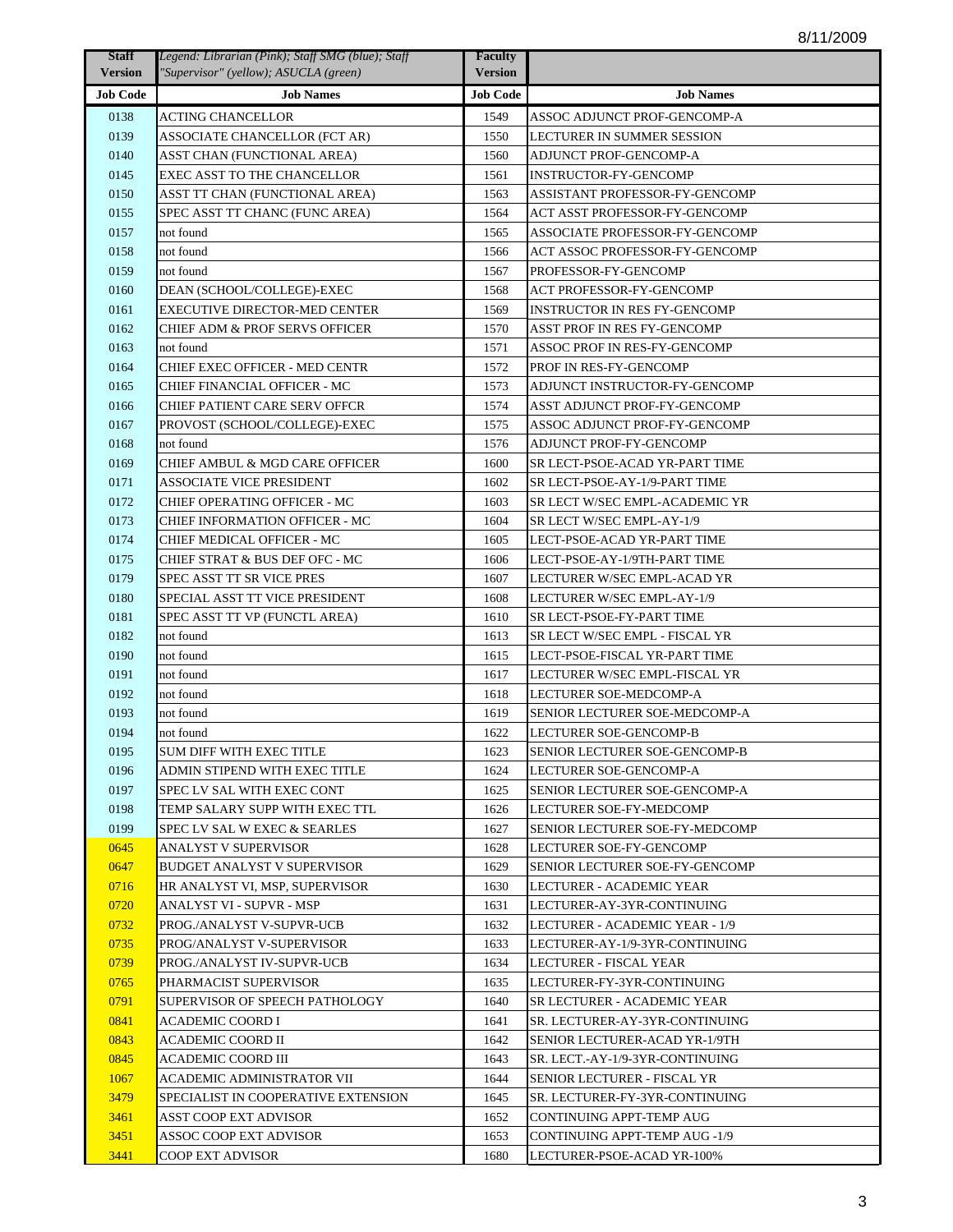| <b>Staff</b>    | Legend: Librarian (Pink); Staff SMG (blue); Staff | <b>Faculty</b>  |                                      |
|-----------------|---------------------------------------------------|-----------------|--------------------------------------|
| <b>Version</b>  | "Supervisor" (yellow); ASUCLA (green)             | <b>Version</b>  |                                      |
| <b>Job Code</b> | <b>Job Names</b>                                  | <b>Job Code</b> | <b>Job Names</b>                     |
| 0138            | ACTING CHANCELLOR                                 | 1549            | ASSOC ADJUNCT PROF-GENCOMP-A         |
| 0139            | ASSOCIATE CHANCELLOR (FCT AR)                     | 1550            | LECTURER IN SUMMER SESSION           |
| 0140            | ASST CHAN (FUNCTIONAL AREA)                       | 1560            | ADJUNCT PROF-GENCOMP-A               |
| 0145            | <b>EXEC ASST TO THE CHANCELLOR</b>                | 1561            | <b>INSTRUCTOR-FY-GENCOMP</b>         |
| 0150            | ASST TT CHAN (FUNCTIONAL AREA)                    | 1563            | ASSISTANT PROFESSOR-FY-GENCOMP       |
| 0155            | SPEC ASST TT CHANC (FUNC AREA)                    | 1564            | <b>ACT ASST PROFESSOR-FY-GENCOMP</b> |
| 0157            | not found                                         | 1565            | ASSOCIATE PROFESSOR-FY-GENCOMP       |
| 0158            | not found                                         | 1566            | ACT ASSOC PROFESSOR-FY-GENCOMP       |
| 0159            | not found                                         | 1567            | PROFESSOR-FY-GENCOMP                 |
| 0160            | DEAN (SCHOOL/COLLEGE)-EXEC                        | 1568            | <b>ACT PROFESSOR-FY-GENCOMP</b>      |
| 0161            | <b>EXECUTIVE DIRECTOR-MED CENTER</b>              | 1569            | <b>INSTRUCTOR IN RES FY-GENCOMP</b>  |
| 0162            | <b>CHIEF ADM &amp; PROF SERVS OFFICER</b>         | 1570            | ASST PROF IN RES FY-GENCOMP          |
| 0163            | not found                                         | 1571            | ASSOC PROF IN RES-FY-GENCOMP         |
| 0164            | CHIEF EXEC OFFICER - MED CENTR                    | 1572            | PROF IN RES-FY-GENCOMP               |
| 0165            | CHIEF FINANCIAL OFFICER - MC                      | 1573            | ADJUNCT INSTRUCTOR-FY-GENCOMP        |
| 0166            | CHIEF PATIENT CARE SERV OFFCR                     | 1574            | ASST ADJUNCT PROF-FY-GENCOMP         |
| 0167            | PROVOST (SCHOOL/COLLEGE)-EXEC                     | 1575            | ASSOC ADJUNCT PROF-FY-GENCOMP        |
| 0168            | not found                                         | 1576            | <b>ADJUNCT PROF-FY-GENCOMP</b>       |
| 0169            | CHIEF AMBUL & MGD CARE OFFICER                    | 1600            | SR LECT-PSOE-ACAD YR-PART TIME       |
| 0171            | <b>ASSOCIATE VICE PRESIDENT</b>                   | 1602            | SR LECT-PSOE-AY-1/9-PART TIME        |
| 0172            | <b>CHIEF OPERATING OFFICER - MC</b>               | 1603            | SR LECT W/SEC EMPL-ACADEMIC YR       |
| 0173            | <b>CHIEF INFORMATION OFFICER - MC</b>             | 1604            | SR LECT W/SEC EMPL-AY-1/9            |
| 0174            | CHIEF MEDICAL OFFICER - MC                        | 1605            | LECT-PSOE-ACAD YR-PART TIME          |
| 0175            | CHIEF STRAT & BUS DEF OFC - MC                    | 1606            | LECT-PSOE-AY-1/9TH-PART TIME         |
| 0179            | SPEC ASST TT SR VICE PRES                         | 1607            | LECTURER W/SEC EMPL-ACAD YR          |
| 0180            | SPECIAL ASST TT VICE PRESIDENT                    | 1608            | LECTURER W/SEC EMPL-AY-1/9           |
| 0181            | SPEC ASST TT VP (FUNCTL AREA)                     | 1610            | SR LECT-PSOE-FY-PART TIME            |
| 0182            | not found                                         | 1613            | SR LECT W/SEC EMPL - FISCAL YR       |
| 0190            | not found                                         | 1615            | LECT-PSOE-FISCAL YR-PART TIME        |
| 0191            | not found                                         | 1617            | LECTURER W/SEC EMPL-FISCAL YR        |
| 0192            | not found                                         | 1618            | LECTURER SOE-MEDCOMP-A               |
| 0193            | not found                                         | 1619            | SENIOR LECTURER SOE-MEDCOMP-A        |
| 0194            | not found                                         | 1622            | LECTURER SOE-GENCOMP-B               |
| 0195            | SUM DIFF WITH EXEC TITLE                          | 1623            | <b>SENIOR LECTURER SOE-GENCOMP-B</b> |
| 0196            | ADMIN STIPEND WITH EXEC TITLE                     | 1624            | LECTURER SOE-GENCOMP-A               |
| 0197            | SPEC LV SAL WITH EXEC CONT                        | 1625            | SENIOR LECTURER SOE-GENCOMP-A        |
| 0198            | TEMP SALARY SUPP WITH EXEC TTL                    | 1626            | LECTURER SOE-FY-MEDCOMP              |
| 0199            | SPEC LV SAL W EXEC & SEARLES                      | 1627            | SENIOR LECTURER SOE-FY-MEDCOMP       |
| 0645            | <b>ANALYST V SUPERVISOR</b>                       | 1628            | LECTURER SOE-FY-GENCOMP              |
| 0647            | <b>BUDGET ANALYST V SUPERVISOR</b>                | 1629            | SENIOR LECTURER SOE-FY-GENCOMP       |
| 0716            | HR ANALYST VI, MSP, SUPERVISOR                    | 1630            | LECTURER - ACADEMIC YEAR             |
| 0720            | ANALYST VI - SUPVR - MSP                          | 1631            | LECTURER-AY-3YR-CONTINUING           |
| 0732            | PROG./ANALYST V-SUPVR-UCB                         | 1632            | LECTURER - ACADEMIC YEAR - 1/9       |
| 0735            | PROG/ANALYST V-SUPERVISOR                         | 1633            | LECTURER-AY-1/9-3YR-CONTINUING       |
| 0739            | PROG./ANALYST IV-SUPVR-UCB                        | 1634            | LECTURER - FISCAL YEAR               |
| 0765            | PHARMACIST SUPERVISOR                             | 1635            | LECTURER-FY-3YR-CONTINUING           |
| 0791            | SUPERVISOR OF SPEECH PATHOLOGY                    | 1640            | SR LECTURER - ACADEMIC YEAR          |
| 0841            | ACADEMIC COORD I                                  | 1641            | SR. LECTURER-AY-3YR-CONTINUING       |
| 0843            | ACADEMIC COORD II                                 | 1642            | SENIOR LECTURER-ACAD YR-1/9TH        |
| 0845            | ACADEMIC COORD III                                | 1643            | SR. LECT.-AY-1/9-3YR-CONTINUING      |
| 1067            | ACADEMIC ADMINISTRATOR VII                        | 1644            | SENIOR LECTURER - FISCAL YR          |
| 3479            | SPECIALIST IN COOPERATIVE EXTENSION               | 1645            | SR. LECTURER-FY-3YR-CONTINUING       |
| 3461            | ASST COOP EXT ADVISOR                             | 1652            | CONTINUING APPT-TEMP AUG             |
| 3451            | ASSOC COOP EXT ADVISOR                            | 1653            | <b>CONTINUING APPT-TEMP AUG -1/9</b> |
| 3441            | COOP EXT ADVISOR                                  | 1680            | LECTURER-PSOE-ACAD YR-100%           |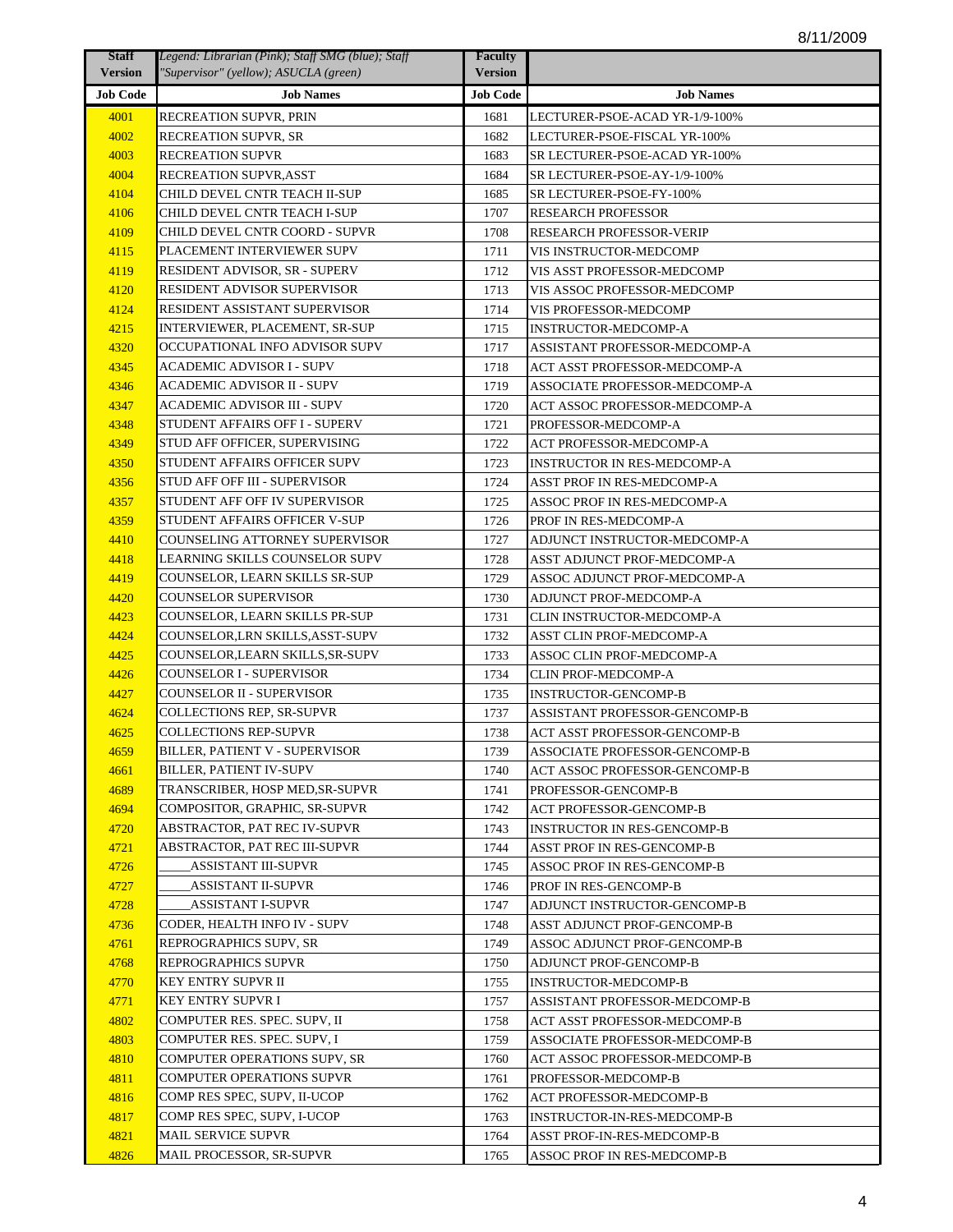| <b>Staff</b>    | Legend: Librarian (Pink); Staff SMG (blue); Staff | <b>Faculty</b>  |                                 |
|-----------------|---------------------------------------------------|-----------------|---------------------------------|
| <b>Version</b>  | "Supervisor" (yellow); ASUCLA (green)             | <b>Version</b>  |                                 |
| <b>Job Code</b> | <b>Job Names</b>                                  | <b>Job Code</b> | <b>Job Names</b>                |
| 4001            | RECREATION SUPVR, PRIN                            | 1681            | LECTURER-PSOE-ACAD YR-1/9-100%  |
| 4002            | RECREATION SUPVR, SR                              | 1682            | LECTURER-PSOE-FISCAL YR-100%    |
| 4003            | RECREATION SUPVR                                  | 1683            | SR LECTURER-PSOE-ACAD YR-100%   |
| 4004            | RECREATION SUPVR,ASST                             | 1684            | SR LECTURER-PSOE-AY-1/9-100%    |
| 4104            | CHILD DEVEL CNTR TEACH II-SUP                     | 1685            | SR LECTURER-PSOE-FY-100%        |
| 4106            | CHILD DEVEL CNTR TEACH I-SUP                      | 1707            | <b>RESEARCH PROFESSOR</b>       |
| 4109            | CHILD DEVEL CNTR COORD - SUPVR                    | 1708            | <b>RESEARCH PROFESSOR-VERIP</b> |
| 4115            | PLACEMENT INTERVIEWER SUPV                        | 1711            | VIS INSTRUCTOR-MEDCOMP          |
| 4119            | RESIDENT ADVISOR, SR - SUPERV                     | 1712            | VIS ASST PROFESSOR-MEDCOMP      |
| 4120            | RESIDENT ADVISOR SUPERVISOR                       | 1713            | VIS ASSOC PROFESSOR-MEDCOMP     |
| 4124            | RESIDENT ASSISTANT SUPERVISOR                     | 1714            | VIS PROFESSOR-MEDCOMP           |
| 4215            | INTERVIEWER, PLACEMENT, SR-SUP                    | 1715            | <b>INSTRUCTOR-MEDCOMP-A</b>     |
| 4320            | OCCUPATIONAL INFO ADVISOR SUPV                    | 1717            | ASSISTANT PROFESSOR-MEDCOMP-A   |
| 4345            | ACADEMIC ADVISOR I - SUPV                         | 1718            | ACT ASST PROFESSOR-MEDCOMP-A    |
| 4346            | ACADEMIC ADVISOR II - SUPV                        | 1719            | ASSOCIATE PROFESSOR-MEDCOMP-A   |
| 4347            | ACADEMIC ADVISOR III - SUPV                       | 1720            | ACT ASSOC PROFESSOR-MEDCOMP-A   |
| 4348            | STUDENT AFFAIRS OFF I - SUPERV                    | 1721            | PROFESSOR-MEDCOMP-A             |
| 4349            | STUD AFF OFFICER, SUPERVISING                     | 1722            | ACT PROFESSOR-MEDCOMP-A         |
| 4350            | STUDENT AFFAIRS OFFICER SUPV                      | 1723            | INSTRUCTOR IN RES-MEDCOMP-A     |
| 4356            | STUD AFF OFF III - SUPERVISOR                     | 1724            | ASST PROF IN RES-MEDCOMP-A      |
| 4357            | STUDENT AFF OFF IV SUPERVISOR                     | 1725            | ASSOC PROF IN RES-MEDCOMP-A     |
| 4359            | STUDENT AFFAIRS OFFICER V-SUP                     | 1726            | PROF IN RES-MEDCOMP-A           |
| 4410            | COUNSELING ATTORNEY SUPERVISOR                    | 1727            | ADJUNCT INSTRUCTOR-MEDCOMP-A    |
| 4418            | LEARNING SKILLS COUNSELOR SUPV                    | 1728            | ASST ADJUNCT PROF-MEDCOMP-A     |
| 4419            | COUNSELOR, LEARN SKILLS SR-SUP                    | 1729            | ASSOC ADJUNCT PROF-MEDCOMP-A    |
| 4420            | COUNSELOR SUPERVISOR                              | 1730            | ADJUNCT PROF-MEDCOMP-A          |
| 4423            | COUNSELOR, LEARN SKILLS PR-SUP                    | 1731            | CLIN INSTRUCTOR-MEDCOMP-A       |
| 4424            | COUNSELOR, LRN SKILLS, ASST-SUPV                  | 1732            | ASST CLIN PROF-MEDCOMP-A        |
| 4425            | COUNSELOR,LEARN SKILLS,SR-SUPV                    | 1733            | ASSOC CLIN PROF-MEDCOMP-A       |
| 4426            | COUNSELOR I - SUPERVISOR                          | 1734            | <b>CLIN PROF-MEDCOMP-A</b>      |
| 4427            | COUNSELOR II - SUPERVISOR                         | 1735            | <b>INSTRUCTOR-GENCOMP-B</b>     |
| 4624            | COLLECTIONS REP, SR-SUPVR                         | 1737            | ASSISTANT PROFESSOR-GENCOMP-B   |
| 4625            | COLLECTIONS REP-SUPVR                             | 1738            | ACT ASST PROFESSOR-GENCOMP-B    |
| 4659            | BILLER, PATIENT V - SUPERVISOR                    | 1739            | ASSOCIATE PROFESSOR-GENCOMP-B   |
| 4661            | BILLER, PATIENT IV-SUPV                           | 1740            | ACT ASSOC PROFESSOR-GENCOMP-B   |
| 4689            | TRANSCRIBER, HOSP MED,SR-SUPVR                    | 1741            | PROFESSOR-GENCOMP-B             |
| 4694            | COMPOSITOR, GRAPHIC, SR-SUPVR                     | 1742            | ACT PROFESSOR-GENCOMP-B         |
| 4720            | ABSTRACTOR, PAT REC IV-SUPVR                      | 1743            | INSTRUCTOR IN RES-GENCOMP-B     |
| 4721            | ABSTRACTOR, PAT REC III-SUPVR                     | 1744            | ASST PROF IN RES-GENCOMP-B      |
| 4726            | ASSISTANT III-SUPVR                               | 1745            | ASSOC PROF IN RES-GENCOMP-B     |
| 4727            | <b>ASSISTANT II-SUPVR</b>                         | 1746            | PROF IN RES-GENCOMP-B           |
| 4728            | ASSISTANT I-SUPVR                                 | 1747            | ADJUNCT INSTRUCTOR-GENCOMP-B    |
| 4736            | CODER, HEALTH INFO IV - SUPV                      | 1748            | ASST ADJUNCT PROF-GENCOMP-B     |
| 4761            | REPROGRAPHICS SUPV, SR                            | 1749            | ASSOC ADJUNCT PROF-GENCOMP-B    |
| 4768            | REPROGRAPHICS SUPVR                               | 1750            | ADJUNCT PROF-GENCOMP-B          |
| 4770            | KEY ENTRY SUPVR II                                | 1755            | INSTRUCTOR-MEDCOMP-B            |
| 4771            | KEY ENTRY SUPVR I                                 | 1757            | ASSISTANT PROFESSOR-MEDCOMP-B   |
| 4802            | COMPUTER RES. SPEC. SUPV, II                      | 1758            | ACT ASST PROFESSOR-MEDCOMP-B    |
| 4803            | COMPUTER RES. SPEC. SUPV, I                       | 1759            | ASSOCIATE PROFESSOR-MEDCOMP-B   |
| 4810            | COMPUTER OPERATIONS SUPV, SR                      | 1760            | ACT ASSOC PROFESSOR-MEDCOMP-B   |
| 4811            | COMPUTER OPERATIONS SUPVR                         | 1761            | PROFESSOR-MEDCOMP-B             |
| 4816            | COMP RES SPEC, SUPV, II-UCOP                      | 1762            | ACT PROFESSOR-MEDCOMP-B         |
| 4817            | COMP RES SPEC, SUPV, I-UCOP                       | 1763            | INSTRUCTOR-IN-RES-MEDCOMP-B     |
| 4821            | MAIL SERVICE SUPVR                                | 1764            | ASST PROF-IN-RES-MEDCOMP-B      |
| 4826            | MAIL PROCESSOR, SR-SUPVR                          | 1765            | ASSOC PROF IN RES-MEDCOMP-B     |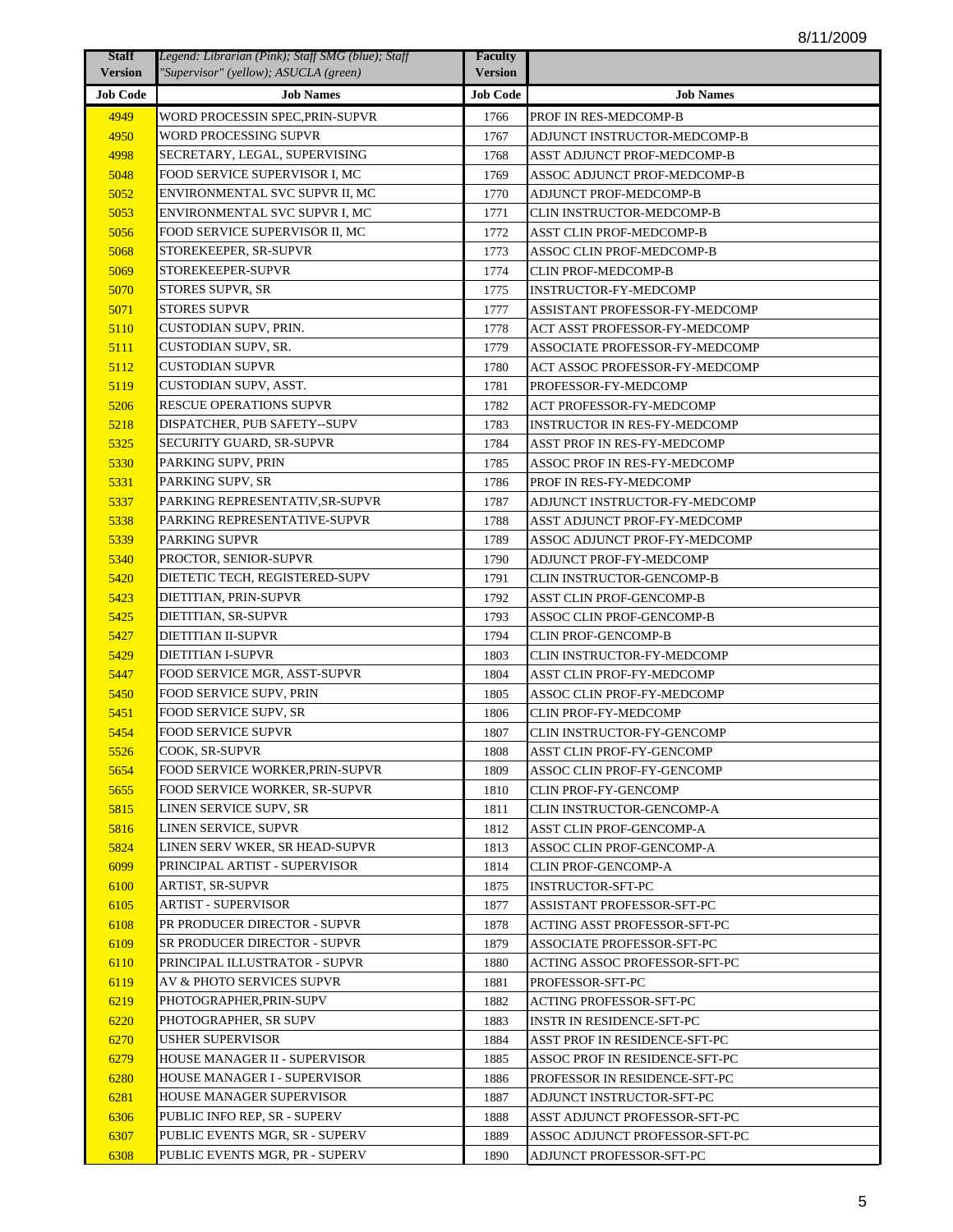| <b>Staff</b>    | Legend: Librarian (Pink); Staff SMG (blue); Staff | <b>Faculty</b>  |                                     |
|-----------------|---------------------------------------------------|-----------------|-------------------------------------|
| <b>Version</b>  | "Supervisor" (yellow); ASUCLA (green)             | <b>Version</b>  |                                     |
| <b>Job Code</b> | <b>Job Names</b>                                  | <b>Job Code</b> | <b>Job Names</b>                    |
| 4949            | WORD PROCESSIN SPEC,PRIN-SUPVR                    | 1766            | PROF IN RES-MEDCOMP-B               |
| 4950            | WORD PROCESSING SUPVR                             | 1767            | ADJUNCT INSTRUCTOR-MEDCOMP-B        |
| 4998            | SECRETARY, LEGAL, SUPERVISING                     | 1768            | ASST ADJUNCT PROF-MEDCOMP-B         |
| 5048            | FOOD SERVICE SUPERVISOR I, MC                     | 1769            | ASSOC ADJUNCT PROF-MEDCOMP-B        |
| 5052            | ENVIRONMENTAL SVC SUPVR II, MC                    | 1770            | ADJUNCT PROF-MEDCOMP-B              |
| 5053            | ENVIRONMENTAL SVC SUPVR I, MC                     | 1771            | CLIN INSTRUCTOR-MEDCOMP-B           |
| 5056            | FOOD SERVICE SUPERVISOR II, MC                    | 1772            | <b>ASST CLIN PROF-MEDCOMP-B</b>     |
| 5068            | STOREKEEPER, SR-SUPVR                             | 1773            | ASSOC CLIN PROF-MEDCOMP-B           |
| 5069            | STOREKEEPER-SUPVR                                 | 1774            | <b>CLIN PROF-MEDCOMP-B</b>          |
| 5070            | STORES SUPVR, SR                                  | 1775            | <b>INSTRUCTOR-FY-MEDCOMP</b>        |
| 5071            | <b>STORES SUPVR</b>                               | 1777            | ASSISTANT PROFESSOR-FY-MEDCOMP      |
| 5110            | CUSTODIAN SUPV, PRIN.                             | 1778            | ACT ASST PROFESSOR-FY-MEDCOMP       |
| 5111            | CUSTODIAN SUPV, SR.                               | 1779            | ASSOCIATE PROFESSOR-FY-MEDCOMP      |
| 5112            | CUSTODIAN SUPVR                                   | 1780            | ACT ASSOC PROFESSOR-FY-MEDCOMP      |
| 5119            | CUSTODIAN SUPV, ASST.                             | 1781            | PROFESSOR-FY-MEDCOMP                |
| 5206            | <b>RESCUE OPERATIONS SUPVR</b>                    | 1782            | <b>ACT PROFESSOR-FY-MEDCOMP</b>     |
| 5218            | DISPATCHER, PUB SAFETY--SUPV                      | 1783            | <b>INSTRUCTOR IN RES-FY-MEDCOMP</b> |
| 5325            | SECURITY GUARD, SR-SUPVR                          | 1784            | ASST PROF IN RES-FY-MEDCOMP         |
| 5330            | PARKING SUPV, PRIN                                | 1785            | ASSOC PROF IN RES-FY-MEDCOMP        |
| 5331            | PARKING SUPV, SR                                  | 1786            | PROF IN RES-FY-MEDCOMP              |
| 5337            | PARKING REPRESENTATIV,SR-SUPVR                    | 1787            | ADJUNCT INSTRUCTOR-FY-MEDCOMP       |
| 5338            | PARKING REPRESENTATIVE-SUPVR                      | 1788            | ASST ADJUNCT PROF-FY-MEDCOMP        |
| 5339            | PARKING SUPVR                                     | 1789            | ASSOC ADJUNCT PROF-FY-MEDCOMP       |
| 5340            | PROCTOR, SENIOR-SUPVR                             | 1790            | ADJUNCT PROF-FY-MEDCOMP             |
| 5420            | DIETETIC TECH, REGISTERED-SUPV                    | 1791            | <b>CLIN INSTRUCTOR-GENCOMP-B</b>    |
| 5423            | DIETITIAN, PRIN-SUPVR                             | 1792            | <b>ASST CLIN PROF-GENCOMP-B</b>     |
| 5425            | DIETITIAN, SR-SUPVR                               | 1793            | ASSOC CLIN PROF-GENCOMP-B           |
| 5427            | <b>DIETITIAN II-SUPVR</b>                         | 1794            | <b>CLIN PROF-GENCOMP-B</b>          |
| 5429            | <b>DIETITIAN I-SUPVR</b>                          | 1803            | CLIN INSTRUCTOR-FY-MEDCOMP          |
| 5447            | FOOD SERVICE MGR, ASST-SUPVR                      | 1804            | ASST CLIN PROF-FY-MEDCOMP           |
| 5450            | FOOD SERVICE SUPV, PRIN                           | 1805            | ASSOC CLIN PROF-FY-MEDCOMP          |
| 5451            | FOOD SERVICE SUPV, SR                             | 1806            | <b>CLIN PROF-FY-MEDCOMP</b>         |
| 5454            | <b>FOOD SERVICE SUPVR</b>                         | 1807            | CLIN INSTRUCTOR-FY-GENCOMP          |
| 5526            | COOK, SR-SUPVR                                    | 1808            | ASST CLIN PROF-FY-GENCOMP           |
| 5654            | FOOD SERVICE WORKER, PRIN-SUPVR                   | 1809            | ASSOC CLIN PROF-FY-GENCOMP          |
| 5655            | FOOD SERVICE WORKER, SR-SUPVR                     | 1810            | <b>CLIN PROF-FY-GENCOMP</b>         |
| 5815            | LINEN SERVICE SUPV, SR                            | 1811            | CLIN INSTRUCTOR-GENCOMP-A           |
| 5816            | LINEN SERVICE, SUPVR                              | 1812            | ASST CLIN PROF-GENCOMP-A            |
| 5824            | LINEN SERV WKER, SR HEAD-SUPVR                    | 1813            | ASSOC CLIN PROF-GENCOMP-A           |
| 6099            | PRINCIPAL ARTIST - SUPERVISOR                     | 1814            | <b>CLIN PROF-GENCOMP-A</b>          |
| 6100            | ARTIST, SR-SUPVR                                  | 1875            | <b>INSTRUCTOR-SFT-PC</b>            |
| 6105            | <b>ARTIST - SUPERVISOR</b>                        | 1877            | <b>ASSISTANT PROFESSOR-SFT-PC</b>   |
| 6108            | PR PRODUCER DIRECTOR - SUPVR                      | 1878            | ACTING ASST PROFESSOR-SFT-PC        |
| 6109            | SR PRODUCER DIRECTOR - SUPVR                      | 1879            | ASSOCIATE PROFESSOR-SFT-PC          |
| 6110            | PRINCIPAL ILLUSTRATOR - SUPVR                     | 1880            | ACTING ASSOC PROFESSOR-SFT-PC       |
| 6119            | AV & PHOTO SERVICES SUPVR                         | 1881            | PROFESSOR-SFT-PC                    |
| 6219            | PHOTOGRAPHER, PRIN-SUPV                           | 1882            | ACTING PROFESSOR-SFT-PC             |
| 6220            | PHOTOGRAPHER, SR SUPV                             | 1883            | <b>INSTR IN RESIDENCE-SFT-PC</b>    |
| 6270            | USHER SUPERVISOR                                  | 1884            | ASST PROF IN RESIDENCE-SFT-PC       |
| 6279            | HOUSE MANAGER II - SUPERVISOR                     | 1885            | ASSOC PROF IN RESIDENCE-SFT-PC      |
| 6280            | HOUSE MANAGER I - SUPERVISOR                      | 1886            | PROFESSOR IN RESIDENCE-SFT-PC       |
| 6281            | HOUSE MANAGER SUPERVISOR                          | 1887            | ADJUNCT INSTRUCTOR-SFT-PC           |
| 6306            | PUBLIC INFO REP, SR - SUPERV                      | 1888            | ASST ADJUNCT PROFESSOR-SFT-PC       |
| 6307            | PUBLIC EVENTS MGR, SR - SUPERV                    | 1889            | ASSOC ADJUNCT PROFESSOR-SFT-PC      |
| 6308            | PUBLIC EVENTS MGR, PR - SUPERV                    | 1890            | ADJUNCT PROFESSOR-SFT-PC            |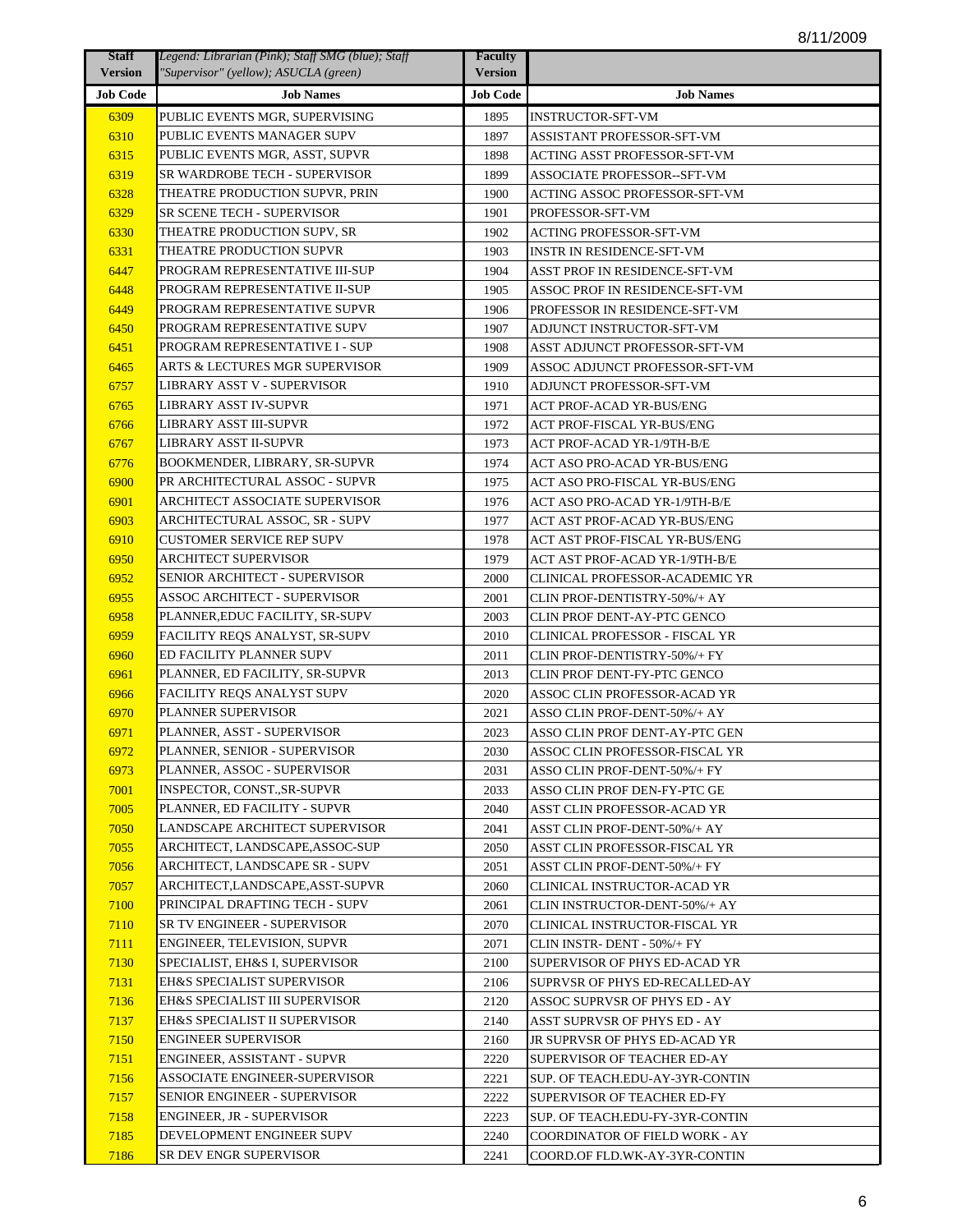| <b>Staff</b>    | Legend: Librarian (Pink); Staff SMG (blue); Staff | <b>Faculty</b>  |                                   |
|-----------------|---------------------------------------------------|-----------------|-----------------------------------|
| <b>Version</b>  | "Supervisor" (yellow); ASUCLA (green)             | <b>Version</b>  |                                   |
| <b>Job Code</b> | <b>Job Names</b>                                  | <b>Job Code</b> | <b>Job Names</b>                  |
| 6309            | PUBLIC EVENTS MGR, SUPERVISING                    | 1895            | <b>INSTRUCTOR-SFT-VM</b>          |
| 6310            | PUBLIC EVENTS MANAGER SUPV                        | 1897            | ASSISTANT PROFESSOR-SFT-VM        |
| 6315            | PUBLIC EVENTS MGR, ASST, SUPVR                    | 1898            | ACTING ASST PROFESSOR-SFT-VM      |
| 6319            | SR WARDROBE TECH - SUPERVISOR                     | 1899            | ASSOCIATE PROFESSOR--SFT-VM       |
| 6328            | THEATRE PRODUCTION SUPVR, PRIN                    | 1900            | ACTING ASSOC PROFESSOR-SFT-VM     |
| 6329            | SR SCENE TECH - SUPERVISOR                        | 1901            | PROFESSOR-SFT-VM                  |
| 6330            | THEATRE PRODUCTION SUPV, SR                       | 1902            | <b>ACTING PROFESSOR-SFT-VM</b>    |
| 6331            | THEATRE PRODUCTION SUPVR                          | 1903            | <b>INSTR IN RESIDENCE-SFT-VM</b>  |
| 6447            | PROGRAM REPRESENTATIVE III-SUP                    | 1904            | ASST PROF IN RESIDENCE-SFT-VM     |
| 6448            | PROGRAM REPRESENTATIVE II-SUP                     | 1905            | ASSOC PROF IN RESIDENCE-SFT-VM    |
| 6449            | PROGRAM REPRESENTATIVE SUPVR                      | 1906            | PROFESSOR IN RESIDENCE-SFT-VM     |
| 6450            | PROGRAM REPRESENTATIVE SUPV                       | 1907            | ADJUNCT INSTRUCTOR-SFT-VM         |
| 6451            | PROGRAM REPRESENTATIVE I - SUP                    | 1908            | ASST ADJUNCT PROFESSOR-SFT-VM     |
| 6465            | ARTS & LECTURES MGR SUPERVISOR                    | 1909            | ASSOC ADJUNCT PROFESSOR-SFT-VM    |
| 6757            | LIBRARY ASST V - SUPERVISOR                       | 1910            | ADJUNCT PROFESSOR-SFT-VM          |
| 6765            | LIBRARY ASST IV-SUPVR                             | 1971            | ACT PROF-ACAD YR-BUS/ENG          |
| 6766            | LIBRARY ASST III-SUPVR                            | 1972            | ACT PROF-FISCAL YR-BUS/ENG        |
| 6767            | <b>LIBRARY ASST II-SUPVR</b>                      | 1973            | <b>ACT PROF-ACAD YR-1/9TH-B/E</b> |
| 6776            | BOOKMENDER, LIBRARY, SR-SUPVR                     | 1974            | ACT ASO PRO-ACAD YR-BUS/ENG       |
| 6900            | PR ARCHITECTURAL ASSOC - SUPVR                    | 1975            | ACT ASO PRO-FISCAL YR-BUS/ENG     |
| 6901            | ARCHITECT ASSOCIATE SUPERVISOR                    | 1976            | ACT ASO PRO-ACAD YR-1/9TH-B/E     |
| 6903            | ARCHITECTURAL ASSOC, SR - SUPV                    | 1977            | ACT AST PROF-ACAD YR-BUS/ENG      |
| 6910            | <b>CUSTOMER SERVICE REP SUPV</b>                  | 1978            | ACT AST PROF-FISCAL YR-BUS/ENG    |
| 6950            | <b>ARCHITECT SUPERVISOR</b>                       | 1979            | ACT AST PROF-ACAD YR-1/9TH-B/E    |
| 6952            | SENIOR ARCHITECT - SUPERVISOR                     | 2000            | CLINICAL PROFESSOR-ACADEMIC YR    |
| 6955            | <b>ASSOC ARCHITECT - SUPERVISOR</b>               | 2001            | CLIN PROF-DENTISTRY-50%/+ AY      |
| 6958            | PLANNER, EDUC FACILITY, SR-SUPV                   | 2003            | CLIN PROF DENT-AY-PTC GENCO       |
| 6959            | FACILITY REQS ANALYST, SR-SUPV                    | 2010            | CLINICAL PROFESSOR - FISCAL YR    |
| 6960            | ED FACILITY PLANNER SUPV                          | 2011            | CLIN PROF-DENTISTRY-50%/+ FY      |
| 6961            | PLANNER, ED FACILITY, SR-SUPVR                    | 2013            | CLIN PROF DENT-FY-PTC GENCO       |
| 6966            | FACILITY REQS ANALYST SUPV                        | 2020            | ASSOC CLIN PROFESSOR-ACAD YR      |
| 6970            | PLANNER SUPERVISOR                                | 2021            | ASSO CLIN PROF-DENT-50%/+ AY      |
| 6971            | PLANNER, ASST - SUPERVISOR                        | 2023            | ASSO CLIN PROF DENT-AY-PTC GEN    |
| 6972            | PLANNER, SENIOR - SUPERVISOR                      | 2030            | ASSOC CLIN PROFESSOR-FISCAL YR    |
| 6973            | PLANNER, ASSOC - SUPERVISOR                       | 2031            | ASSO CLIN PROF-DENT-50%/+ FY      |
| 7001            | INSPECTOR. CONSTSR-SUPVR                          | 2033            | ASSO CLIN PROF DEN-FY-PTC GE      |
| 7005            | PLANNER, ED FACILITY - SUPVR                      | 2040            | ASST CLIN PROFESSOR-ACAD YR       |
| 7050            | LANDSCAPE ARCHITECT SUPERVISOR                    | 2041            | ASST CLIN PROF-DENT-50%/+ AY      |
| 7055            | ARCHITECT. LANDSCAPE.ASSOC-SUP                    | 2050            | ASST CLIN PROFESSOR-FISCAL YR     |
| 7056            | ARCHITECT, LANDSCAPE SR - SUPV                    | 2051            | ASST CLIN PROF-DENT-50%/+ FY      |
| 7057            | ARCHITECT,LANDSCAPE,ASST-SUPVR                    | 2060            | CLINICAL INSTRUCTOR-ACAD YR       |
| 7100            | PRINCIPAL DRAFTING TECH - SUPV                    | 2061            | CLIN INSTRUCTOR-DENT-50%/+ AY     |
| 7110            | SR TV ENGINEER - SUPERVISOR                       | 2070            | CLINICAL INSTRUCTOR-FISCAL YR     |
| 7111            | ENGINEER, TELEVISION, SUPVR                       | 2071            | CLIN INSTR- DENT - 50%/+ FY       |
| 7130            | SPECIALIST, EH&S I, SUPERVISOR                    | 2100            | SUPERVISOR OF PHYS ED-ACAD YR     |
| 7131            | EH&S SPECIALIST SUPERVISOR                        | 2106            | SUPRVSR OF PHYS ED-RECALLED-AY    |
| 7136            | EH&S SPECIALIST III SUPERVISOR                    | 2120            | ASSOC SUPRVSR OF PHYS ED - AY     |
| 7137            | EH&S SPECIALIST II SUPERVISOR                     | 2140            | ASST SUPRVSR OF PHYS ED - AY      |
| 7150            | <b>ENGINEER SUPERVISOR</b>                        | 2160            | JR SUPRVSR OF PHYS ED-ACAD YR     |
| 7151            | ENGINEER, ASSISTANT - SUPVR                       | 2220            | SUPERVISOR OF TEACHER ED-AY       |
| 7156            | ASSOCIATE ENGINEER-SUPERVISOR                     | 2221            | SUP. OF TEACH.EDU-AY-3YR-CONTIN   |
| 7157            | SENIOR ENGINEER - SUPERVISOR                      | 2222            | SUPERVISOR OF TEACHER ED-FY       |
| 7158            | ENGINEER, JR - SUPERVISOR                         | 2223            | SUP. OF TEACH.EDU-FY-3YR-CONTIN   |
| 7185            | DEVELOPMENT ENGINEER SUPV                         | 2240            | COORDINATOR OF FIELD WORK - AY    |
| 7186            | SR DEV ENGR SUPERVISOR                            | 2241            | COORD.OF FLD.WK-AY-3YR-CONTIN     |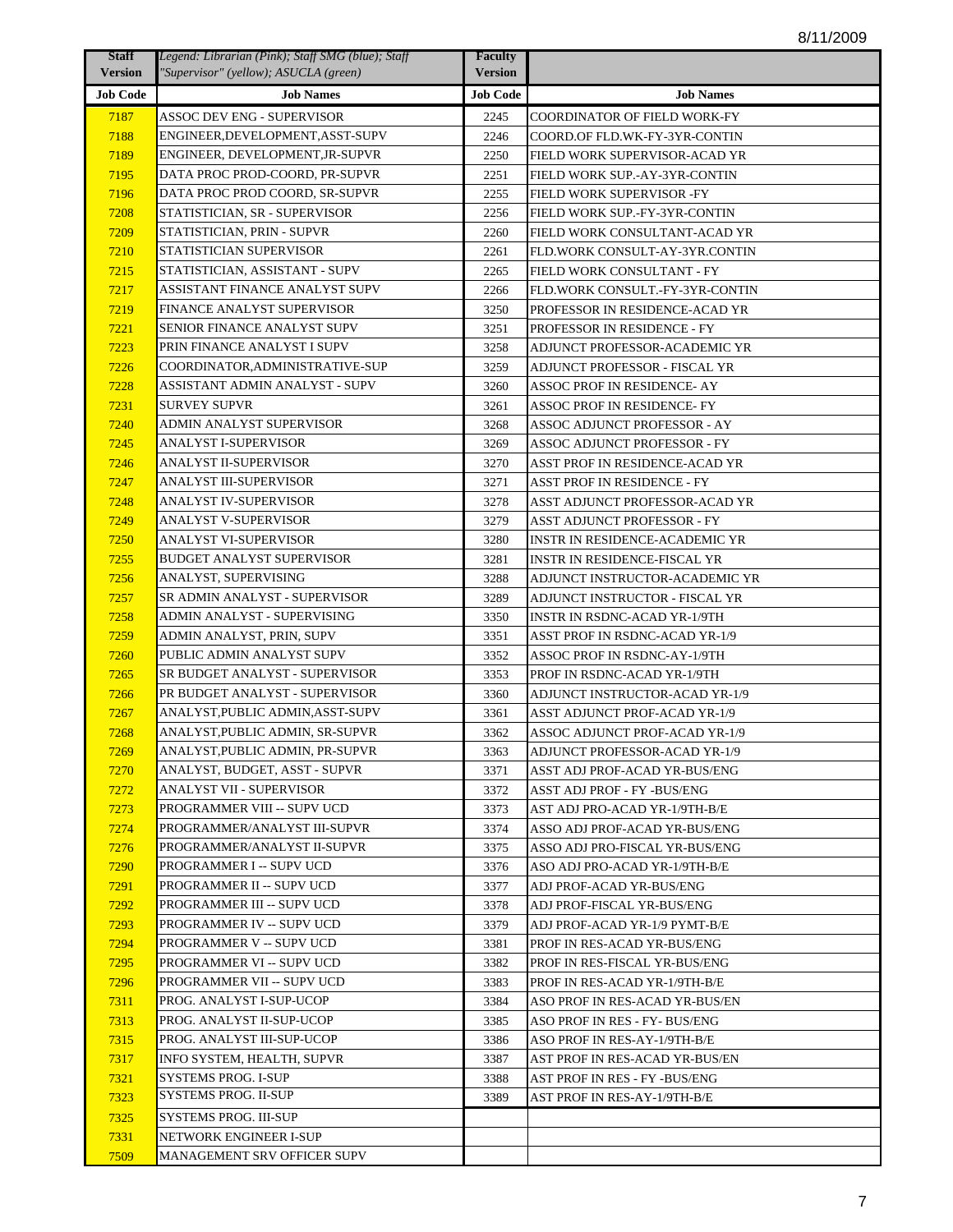| <b>Staff</b>    | Legend: Librarian (Pink); Staff SMG (blue); Staff | <b>Faculty</b>  |                                 |
|-----------------|---------------------------------------------------|-----------------|---------------------------------|
| <b>Version</b>  | "Supervisor" (yellow); ASUCLA (green)             | <b>Version</b>  |                                 |
| <b>Job Code</b> | <b>Job Names</b>                                  | <b>Job Code</b> | <b>Job Names</b>                |
| 7187            | ASSOC DEV ENG - SUPERVISOR                        | 2245            | COORDINATOR OF FIELD WORK-FY    |
| 7188            | ENGINEER,DEVELOPMENT,ASST-SUPV                    | 2246            | COORD.OF FLD.WK-FY-3YR-CONTIN   |
| 7189            | ENGINEER, DEVELOPMENT,JR-SUPVR                    | 2250            | FIELD WORK SUPERVISOR-ACAD YR   |
| 7195            | DATA PROC PROD-COORD, PR-SUPVR                    | 2251            | FIELD WORK SUP.-AY-3YR-CONTIN   |
| 7196            | DATA PROC PROD COORD, SR-SUPVR                    | 2255            | FIELD WORK SUPERVISOR -FY       |
| 7208            | STATISTICIAN, SR - SUPERVISOR                     | 2256            | FIELD WORK SUP.-FY-3YR-CONTIN   |
| 7209            | STATISTICIAN, PRIN - SUPVR                        | 2260            | FIELD WORK CONSULTANT-ACAD YR   |
| 7210            | STATISTICIAN SUPERVISOR                           | 2261            | FLD.WORK CONSULT-AY-3YR.CONTIN  |
| 7215            | STATISTICIAN, ASSISTANT - SUPV                    | 2265            | FIELD WORK CONSULTANT - FY      |
| 7217            | ASSISTANT FINANCE ANALYST SUPV                    | 2266            | FLD.WORK CONSULT.-FY-3YR-CONTIN |
| 7219            | FINANCE ANALYST SUPERVISOR                        | 3250            | PROFESSOR IN RESIDENCE-ACAD YR  |
| 7221            | SENIOR FINANCE ANALYST SUPV                       | 3251            | PROFESSOR IN RESIDENCE - FY     |
| 7223            | PRIN FINANCE ANALYST I SUPV                       | 3258            | ADJUNCT PROFESSOR-ACADEMIC YR   |
| 7226            | COORDINATOR,ADMINISTRATIVE-SUP                    | 3259            | ADJUNCT PROFESSOR - FISCAL YR   |
| 7228            | ASSISTANT ADMIN ANALYST - SUPV                    | 3260            | ASSOC PROF IN RESIDENCE- AY     |
| 7231            | SURVEY SUPVR                                      | 3261            | ASSOC PROF IN RESIDENCE- FY     |
| 7240            | ADMIN ANALYST SUPERVISOR                          | 3268            | ASSOC ADJUNCT PROFESSOR - AY    |
| 7245            | ANALYST I-SUPERVISOR                              | 3269            | ASSOC ADJUNCT PROFESSOR - FY    |
| 7246            | ANALYST II-SUPERVISOR                             | 3270            | ASST PROF IN RESIDENCE-ACAD YR  |
| 7247            | ANALYST III-SUPERVISOR                            | 3271            | ASST PROF IN RESIDENCE - FY     |
| 7248            | ANALYST IV-SUPERVISOR                             | 3278            | ASST ADJUNCT PROFESSOR-ACAD YR  |
| 7249            | ANALYST V-SUPERVISOR                              | 3279            | ASST ADJUNCT PROFESSOR - FY     |
| 7250            | ANALYST VI-SUPERVISOR                             | 3280            | INSTR IN RESIDENCE-ACADEMIC YR  |
| 7255            | BUDGET ANALYST SUPERVISOR                         | 3281            | INSTR IN RESIDENCE-FISCAL YR    |
| 7256            | ANALYST, SUPERVISING                              | 3288            | ADJUNCT INSTRUCTOR-ACADEMIC YR  |
| 7257            | SR ADMIN ANALYST - SUPERVISOR                     | 3289            | ADJUNCT INSTRUCTOR - FISCAL YR  |
| 7258            | ADMIN ANALYST - SUPERVISING                       | 3350            | INSTR IN RSDNC-ACAD YR-1/9TH    |
| 7259            | ADMIN ANALYST, PRIN, SUPV                         | 3351            | ASST PROF IN RSDNC-ACAD YR-1/9  |
| 7260            | PUBLIC ADMIN ANALYST SUPV                         | 3352            | ASSOC PROF IN RSDNC-AY-1/9TH    |
| 7265            | SR BUDGET ANALYST - SUPERVISOR                    | 3353            | PROF IN RSDNC-ACAD YR-1/9TH     |
| 7266            | PR BUDGET ANALYST - SUPERVISOR                    | 3360            | ADJUNCT INSTRUCTOR-ACAD YR-1/9  |
| 7267            | ANALYST,PUBLIC ADMIN,ASST-SUPV                    | 3361            | ASST ADJUNCT PROF-ACAD YR-1/9   |
| 7268            | ANALYST,PUBLIC ADMIN, SR-SUPVR                    | 3362            | ASSOC ADJUNCT PROF-ACAD YR-1/9  |
| 7269            | ANALYST, PUBLIC ADMIN, PR-SUPVR                   | 3363            | ADJUNCT PROFESSOR-ACAD YR-1/9   |
| 7270            | ANALYST, BUDGET, ASST - SUPVR                     | 3371            | ASST ADJ PROF-ACAD YR-BUS/ENG   |
| 7272            | ANALYST VII - SUPERVISOR                          | 3372            | ASST ADJ PROF - FY -BUS/ENG     |
| 7273            | PROGRAMMER VIII -- SUPV UCD                       | 3373            | AST ADJ PRO-ACAD YR-1/9TH-B/E   |
| 7274            | PROGRAMMER/ANALYST III-SUPVR                      | 3374            | ASSO ADJ PROF-ACAD YR-BUS/ENG   |
| 7276            | PROGRAMMER/ANALYST II-SUPVR                       | 3375            | ASSO ADJ PRO-FISCAL YR-BUS/ENG  |
| 7290            | PROGRAMMER I -- SUPV UCD                          | 3376            | ASO ADJ PRO-ACAD YR-1/9TH-B/E   |
| 7291            | PROGRAMMER II -- SUPV UCD                         | 3377            | ADJ PROF-ACAD YR-BUS/ENG        |
| 7292            | PROGRAMMER III -- SUPV UCD                        | 3378            | ADJ PROF-FISCAL YR-BUS/ENG      |
| 7293            | PROGRAMMER IV -- SUPV UCD                         | 3379            | ADJ PROF-ACAD YR-1/9 PYMT-B/E   |
| 7294            | PROGRAMMER V -- SUPV UCD                          | 3381            | PROF IN RES-ACAD YR-BUS/ENG     |
| 7295            | PROGRAMMER VI -- SUPV UCD                         | 3382            | PROF IN RES-FISCAL YR-BUS/ENG   |
| 7296            | PROGRAMMER VII -- SUPV UCD                        | 3383            | PROF IN RES-ACAD YR-1/9TH-B/E   |
| 7311            | PROG. ANALYST I-SUP-UCOP                          | 3384            | ASO PROF IN RES-ACAD YR-BUS/EN  |
| 7313            | PROG. ANALYST II-SUP-UCOP                         | 3385            | ASO PROF IN RES - FY- BUS/ENG   |
| 7315            | PROG. ANALYST III-SUP-UCOP                        | 3386            | ASO PROF IN RES-AY-1/9TH-B/E    |
| 7317            | INFO SYSTEM, HEALTH, SUPVR                        | 3387            | AST PROF IN RES-ACAD YR-BUS/EN  |
| 7321            | SYSTEMS PROG. I-SUP                               | 3388            | AST PROF IN RES - FY -BUS/ENG   |
| 7323            | SYSTEMS PROG. II-SUP                              | 3389            | AST PROF IN RES-AY-1/9TH-B/E    |
| 7325            | SYSTEMS PROG. III-SUP                             |                 |                                 |
| 7331            | NETWORK ENGINEER I-SUP                            |                 |                                 |
| 7509            | MANAGEMENT SRV OFFICER SUPV                       |                 |                                 |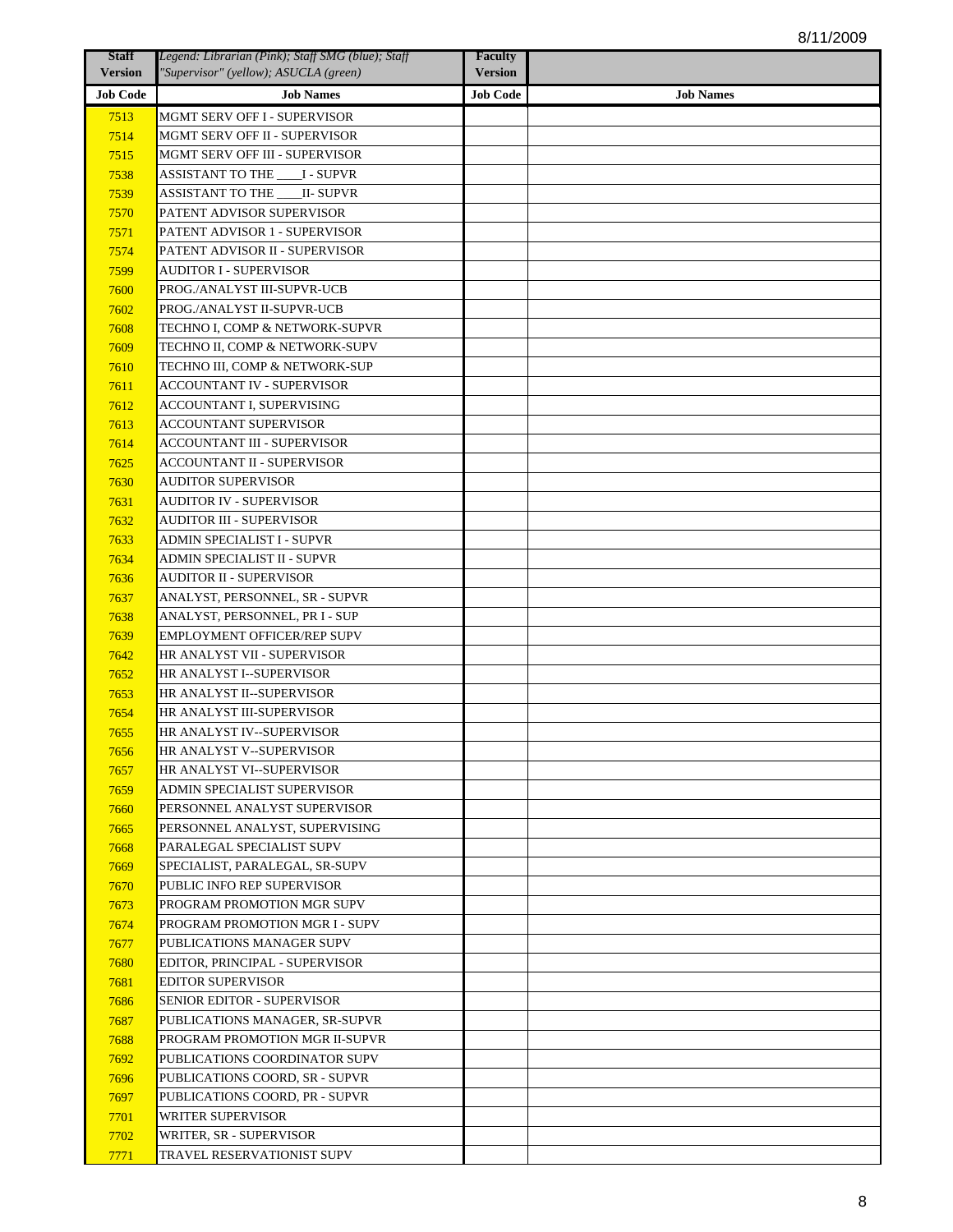| <b>Staff</b>    | Legend: Librarian (Pink); Staff SMG (blue); Staff            | <b>Faculty</b>  |                  |
|-----------------|--------------------------------------------------------------|-----------------|------------------|
| <b>Version</b>  | "Supervisor" (yellow); ASUCLA (green)                        | <b>Version</b>  |                  |
| <b>Job Code</b> | <b>Job Names</b>                                             | <b>Job Code</b> | <b>Job Names</b> |
| 7513            | MGMT SERV OFF I - SUPERVISOR                                 |                 |                  |
| 7514            | MGMT SERV OFF II - SUPERVISOR                                |                 |                  |
| 7515            | MGMT SERV OFF III - SUPERVISOR                               |                 |                  |
| 7538            | <b>ASSISTANT TO THE _____ I - SUPVR</b>                      |                 |                  |
| 7539            | <b>ASSISTANT TO THE ____ II- SUPVR</b>                       |                 |                  |
| 7570            | PATENT ADVISOR SUPERVISOR                                    |                 |                  |
| 7571            | PATENT ADVISOR 1 - SUPERVISOR                                |                 |                  |
| 7574            | PATENT ADVISOR II - SUPERVISOR                               |                 |                  |
| 7599            | <b>AUDITOR I - SUPERVISOR</b>                                |                 |                  |
| 7600            | PROG./ANALYST III-SUPVR-UCB                                  |                 |                  |
| 7602            | PROG./ANALYST II-SUPVR-UCB                                   |                 |                  |
| 7608            | TECHNO I, COMP & NETWORK-SUPVR                               |                 |                  |
| 7609            | TECHNO II, COMP & NETWORK-SUPV                               |                 |                  |
| 7610            | TECHNO III, COMP & NETWORK-SUP                               |                 |                  |
| 7611            | ACCOUNTANT IV - SUPERVISOR                                   |                 |                  |
| 7612            | ACCOUNTANT I, SUPERVISING                                    |                 |                  |
| 7613            | ACCOUNTANT SUPERVISOR                                        |                 |                  |
| 7614            | <b>ACCOUNTANT III - SUPERVISOR</b>                           |                 |                  |
| 7625            | ACCOUNTANT II - SUPERVISOR                                   |                 |                  |
| 7630            | AUDITOR SUPERVISOR                                           |                 |                  |
| 7631            | AUDITOR IV - SUPERVISOR                                      |                 |                  |
| 7632            | AUDITOR III - SUPERVISOR                                     |                 |                  |
| 7633            | ADMIN SPECIALIST I - SUPVR                                   |                 |                  |
| 7634            | ADMIN SPECIALIST II - SUPVR                                  |                 |                  |
| 7636            | <b>AUDITOR II - SUPERVISOR</b>                               |                 |                  |
| 7637            | ANALYST, PERSONNEL, SR - SUPVR                               |                 |                  |
| 7638            | ANALYST, PERSONNEL, PR I - SUP                               |                 |                  |
| 7639            | EMPLOYMENT OFFICER/REP SUPV                                  |                 |                  |
|                 | HR ANALYST VII - SUPERVISOR                                  |                 |                  |
| 7642            | HR ANALYST I--SUPERVISOR                                     |                 |                  |
| 7652            | HR ANALYST II--SUPERVISOR                                    |                 |                  |
| 7653<br>7654    | HR ANALYST III-SUPERVISOR                                    |                 |                  |
|                 | HR ANALYST IV--SUPERVISOR                                    |                 |                  |
| 7655            |                                                              |                 |                  |
| 7656<br>7657    | HR ANALYST V--SUPERVISOR<br>HR ANALYST VI--SUPERVISOR        |                 |                  |
| 7659            | ADMIN SPECIALIST SUPERVISOR                                  |                 |                  |
|                 | PERSONNEL ANALYST SUPERVISOR                                 |                 |                  |
| 7660            |                                                              |                 |                  |
| 7665            | PERSONNEL ANALYST, SUPERVISING                               |                 |                  |
| 7668            | PARALEGAL SPECIALIST SUPV<br>SPECIALIST, PARALEGAL, SR-SUPV  |                 |                  |
| 7669            | PUBLIC INFO REP SUPERVISOR                                   |                 |                  |
| 7670            |                                                              |                 |                  |
| 7673            | PROGRAM PROMOTION MGR SUPV<br>PROGRAM PROMOTION MGR I - SUPV |                 |                  |
| 7674            |                                                              |                 |                  |
| 7677            | PUBLICATIONS MANAGER SUPV                                    |                 |                  |
| 7680            | EDITOR, PRINCIPAL - SUPERVISOR                               |                 |                  |
| 7681            | <b>EDITOR SUPERVISOR</b>                                     |                 |                  |
| 7686            | SENIOR EDITOR - SUPERVISOR                                   |                 |                  |
| 7687            | PUBLICATIONS MANAGER, SR-SUPVR                               |                 |                  |
| 7688            | PROGRAM PROMOTION MGR II-SUPVR                               |                 |                  |
| 7692            | PUBLICATIONS COORDINATOR SUPV                                |                 |                  |
| 7696            | PUBLICATIONS COORD, SR - SUPVR                               |                 |                  |
| 7697            | PUBLICATIONS COORD, PR - SUPVR                               |                 |                  |
| 7701            | WRITER SUPERVISOR                                            |                 |                  |
| 7702            | WRITER, SR - SUPERVISOR                                      |                 |                  |
| 7771            | TRAVEL RESERVATIONIST SUPV                                   |                 |                  |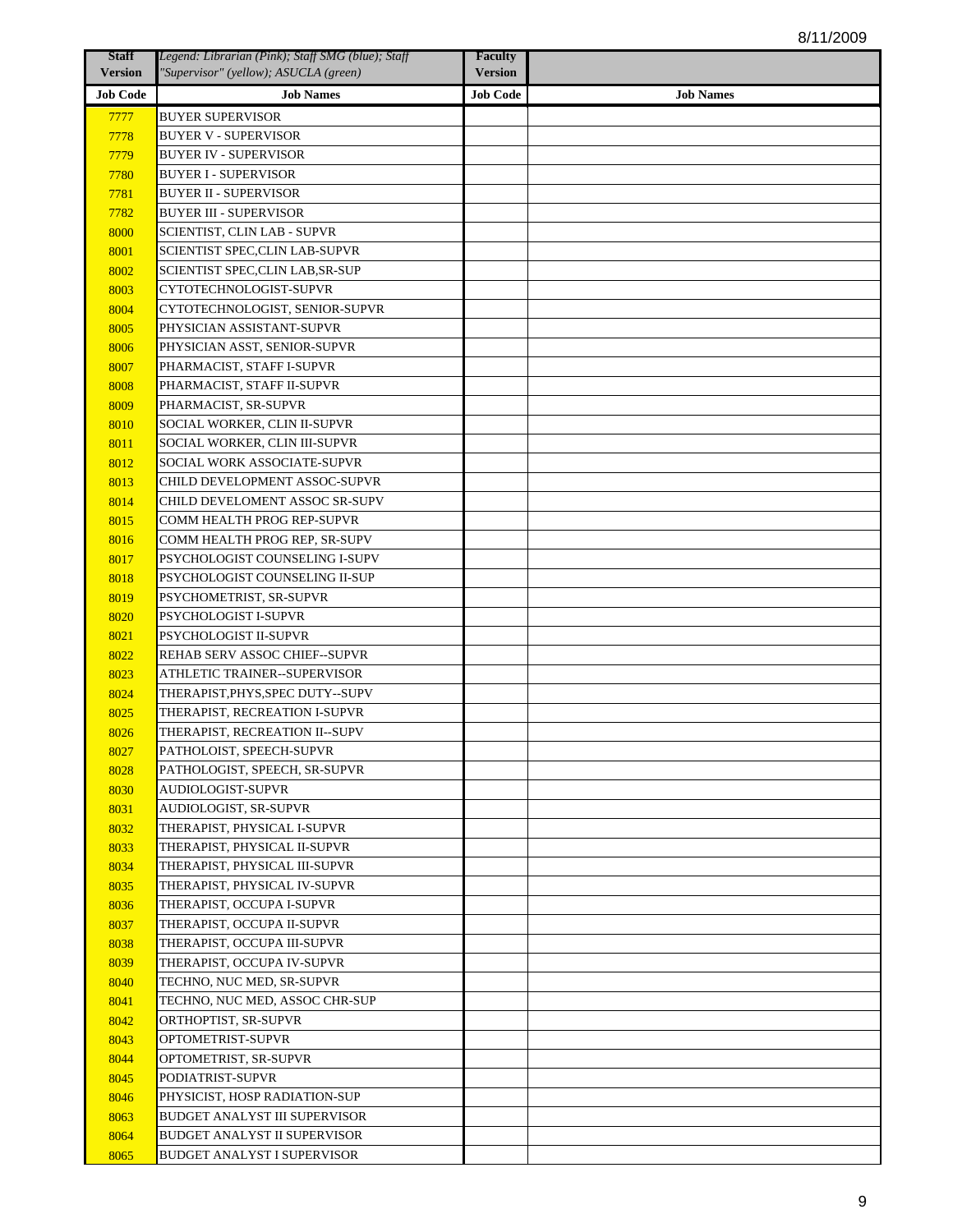| <b>Staff</b>    | Legend: Librarian (Pink); Staff SMG (blue); Staff            | <b>Faculty</b>  |                  |
|-----------------|--------------------------------------------------------------|-----------------|------------------|
| <b>Version</b>  | "Supervisor" (yellow); ASUCLA (green)                        | <b>Version</b>  |                  |
| <b>Job Code</b> | <b>Job Names</b>                                             | <b>Job Code</b> | <b>Job Names</b> |
| 7777            | BUYER SUPERVISOR                                             |                 |                  |
| 7778            | <b>BUYER V - SUPERVISOR</b>                                  |                 |                  |
| 7779            | <b>BUYER IV - SUPERVISOR</b>                                 |                 |                  |
| 7780            | <b>BUYER I - SUPERVISOR</b>                                  |                 |                  |
| 7781            | BUYER II - SUPERVISOR                                        |                 |                  |
| 7782            | <b>BUYER III - SUPERVISOR</b>                                |                 |                  |
| 8000            | SCIENTIST, CLIN LAB - SUPVR                                  |                 |                  |
| 8001            | <b>SCIENTIST SPEC, CLIN LAB-SUPVR</b>                        |                 |                  |
| 8002            | SCIENTIST SPEC, CLIN LAB, SR-SUP                             |                 |                  |
| 8003            | CYTOTECHNOLOGIST-SUPVR                                       |                 |                  |
| 8004            | CYTOTECHNOLOGIST, SENIOR-SUPVR                               |                 |                  |
| 8005            | PHYSICIAN ASSISTANT-SUPVR                                    |                 |                  |
| 8006            | PHYSICIAN ASST, SENIOR-SUPVR                                 |                 |                  |
| 8007            | PHARMACIST, STAFF I-SUPVR                                    |                 |                  |
| 8008            | PHARMACIST, STAFF II-SUPVR                                   |                 |                  |
| 8009            | PHARMACIST, SR-SUPVR                                         |                 |                  |
| 8010            | SOCIAL WORKER, CLIN II-SUPVR                                 |                 |                  |
| 8011            | SOCIAL WORKER, CLIN III-SUPVR                                |                 |                  |
| 8012            | SOCIAL WORK ASSOCIATE-SUPVR<br>CHILD DEVELOPMENT ASSOC-SUPVR |                 |                  |
| 8013            | CHILD DEVELOMENT ASSOC SR-SUPV                               |                 |                  |
| 8014<br>8015    | COMM HEALTH PROG REP-SUPVR                                   |                 |                  |
| 8016            | COMM HEALTH PROG REP, SR-SUPV                                |                 |                  |
| 8017            | PSYCHOLOGIST COUNSELING I-SUPV                               |                 |                  |
| 8018            | PSYCHOLOGIST COUNSELING II-SUP                               |                 |                  |
| 8019            | PSYCHOMETRIST, SR-SUPVR                                      |                 |                  |
| 8020            | PSYCHOLOGIST I-SUPVR                                         |                 |                  |
| 8021            | PSYCHOLOGIST II-SUPVR                                        |                 |                  |
| 8022            | REHAB SERV ASSOC CHIEF--SUPVR                                |                 |                  |
| 8023            | ATHLETIC TRAINER--SUPERVISOR                                 |                 |                  |
| 8024            | THERAPIST, PHYS, SPEC DUTY--SUPV                             |                 |                  |
| 8025            | THERAPIST, RECREATION I-SUPVR                                |                 |                  |
| 8026            | THERAPIST, RECREATION II--SUPV                               |                 |                  |
| 8027            | PATHOLOIST, SPEECH-SUPVR                                     |                 |                  |
| 8028            | PATHOLOGIST, SPEECH, SR-SUPVR                                |                 |                  |
| 8030            | AUDIOLOGIST-SUPVR                                            |                 |                  |
| 8031            | AUDIOLOGIST, SR-SUPVR                                        |                 |                  |
| 8032            | THERAPIST, PHYSICAL I-SUPVR                                  |                 |                  |
| 8033            | THERAPIST, PHYSICAL II-SUPVR                                 |                 |                  |
| 8034            | THERAPIST, PHYSICAL III-SUPVR                                |                 |                  |
| 8035            | THERAPIST, PHYSICAL IV-SUPVR                                 |                 |                  |
| 8036            | THERAPIST, OCCUPA I-SUPVR                                    |                 |                  |
| 8037            | THERAPIST, OCCUPA II-SUPVR                                   |                 |                  |
| 8038            | THERAPIST, OCCUPA III-SUPVR                                  |                 |                  |
| 8039            | THERAPIST, OCCUPA IV-SUPVR                                   |                 |                  |
| 8040            | TECHNO, NUC MED, SR-SUPVR                                    |                 |                  |
| 8041            | TECHNO, NUC MED, ASSOC CHR-SUP                               |                 |                  |
| 8042            | ORTHOPTIST, SR-SUPVR                                         |                 |                  |
| 8043            | OPTOMETRIST-SUPVR                                            |                 |                  |
| 8044            | OPTOMETRIST, SR-SUPVR                                        |                 |                  |
| 8045            | PODIATRIST-SUPVR                                             |                 |                  |
| 8046            | PHYSICIST, HOSP RADIATION-SUP                                |                 |                  |
| 8063            | BUDGET ANALYST III SUPERVISOR                                |                 |                  |
| 8064            | BUDGET ANALYST II SUPERVISOR                                 |                 |                  |
| 8065            | BUDGET ANALYST I SUPERVISOR                                  |                 |                  |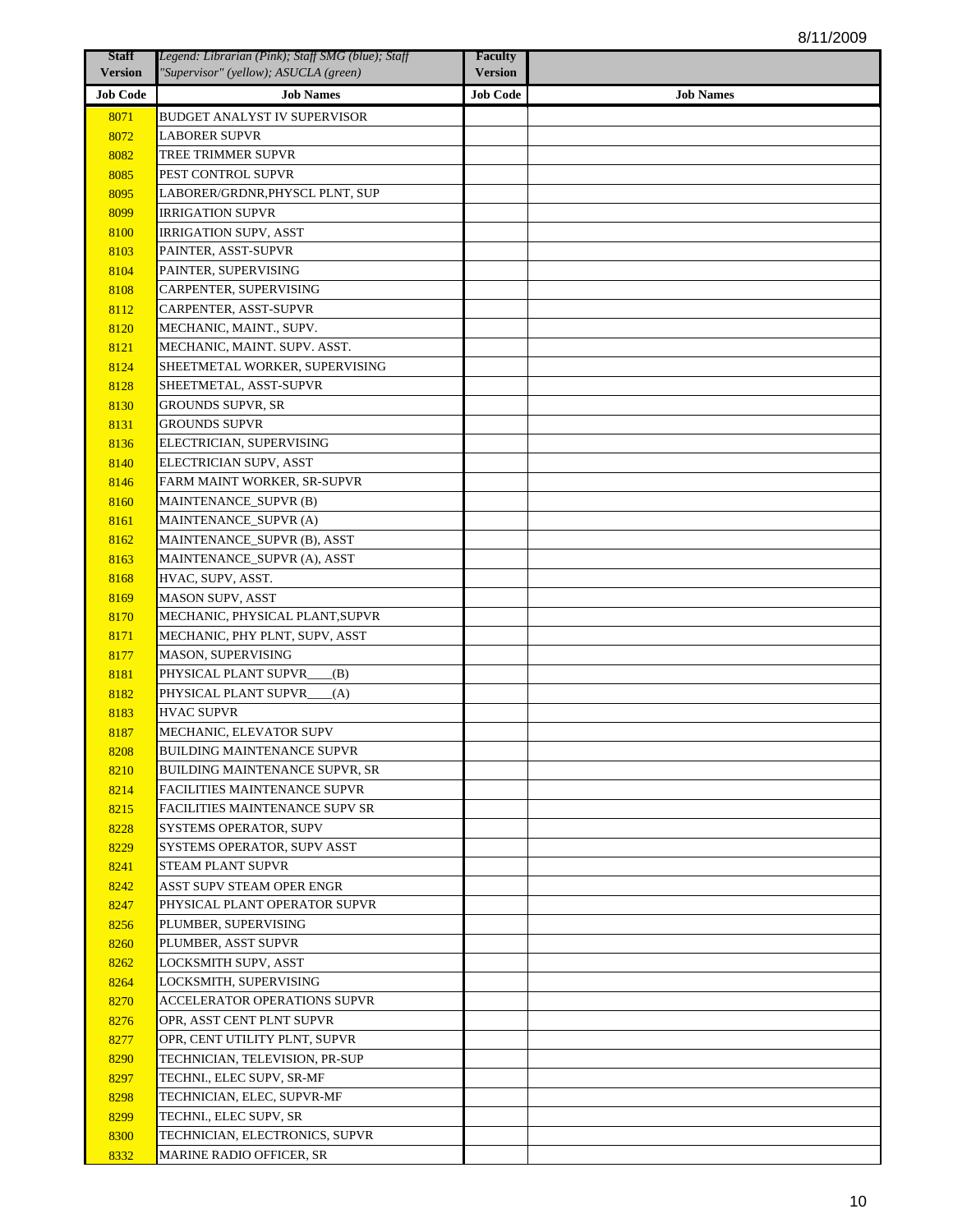| <b>Staff</b>    | Legend: Librarian (Pink); Staff SMG (blue); Staff | <b>Faculty</b>  |                  |
|-----------------|---------------------------------------------------|-----------------|------------------|
| <b>Version</b>  | "Supervisor" (yellow); ASUCLA (green)             | <b>Version</b>  |                  |
| <b>Job Code</b> | <b>Job Names</b>                                  | <b>Job Code</b> | <b>Job Names</b> |
| 8071            | BUDGET ANALYST IV SUPERVISOR                      |                 |                  |
| 8072            | <b>LABORER SUPVR</b>                              |                 |                  |
| 8082            | TREE TRIMMER SUPVR                                |                 |                  |
| 8085            | PEST CONTROL SUPVR                                |                 |                  |
| 8095            | LABORER/GRDNR,PHYSCL PLNT, SUP                    |                 |                  |
| 8099            | <b>IRRIGATION SUPVR</b>                           |                 |                  |
| 8100            | <b>IRRIGATION SUPV, ASST</b>                      |                 |                  |
| 8103            | PAINTER, ASST-SUPVR                               |                 |                  |
| 8104            | PAINTER, SUPERVISING                              |                 |                  |
| 8108            | CARPENTER, SUPERVISING                            |                 |                  |
| 8112            | CARPENTER, ASST-SUPVR                             |                 |                  |
| 8120            | MECHANIC, MAINT., SUPV.                           |                 |                  |
| 8121            | MECHANIC, MAINT. SUPV. ASST.                      |                 |                  |
| 8124            | SHEETMETAL WORKER, SUPERVISING                    |                 |                  |
| 8128            | SHEETMETAL, ASST-SUPVR                            |                 |                  |
| 8130            | <b>GROUNDS SUPVR, SR</b>                          |                 |                  |
| 8131            | <b>GROUNDS SUPVR</b>                              |                 |                  |
| 8136            | ELECTRICIAN, SUPERVISING                          |                 |                  |
| 8140            | ELECTRICIAN SUPV, ASST                            |                 |                  |
| 8146            | FARM MAINT WORKER, SR-SUPVR                       |                 |                  |
| 8160            | <b>MAINTENANCE_SUPVR (B)</b>                      |                 |                  |
| 8161            | MAINTENANCE_SUPVR (A)                             |                 |                  |
| 8162            | MAINTENANCE_SUPVR (B), ASST                       |                 |                  |
| 8163            | MAINTENANCE_SUPVR (A), ASST                       |                 |                  |
| 8168            | HVAC, SUPV, ASST.                                 |                 |                  |
| 8169            | MASON SUPV, ASST                                  |                 |                  |
| 8170            | MECHANIC, PHYSICAL PLANT, SUPVR                   |                 |                  |
| 8171            | MECHANIC, PHY PLNT, SUPV, ASST                    |                 |                  |
| 8177            | MASON, SUPERVISING                                |                 |                  |
| 8181            | PHYSICAL PLANT SUPVR_<br>(B)                      |                 |                  |
| 8182            | PHYSICAL PLANT SUPVR_<br>(A)                      |                 |                  |
| 8183            | <b>HVAC SUPVR</b>                                 |                 |                  |
| 8187            | MECHANIC, ELEVATOR SUPV                           |                 |                  |
| 8208            | BUILDING MAINTENANCE SUPVR                        |                 |                  |
| 8210            | BUILDING MAINTENANCE SUPVR, SR                    |                 |                  |
| 8214            | FACILITIES MAINTENANCE SUPVR                      |                 |                  |
| 8215            | FACILITIES MAINTENANCE SUPV SR                    |                 |                  |
| 8228            | SYSTEMS OPERATOR, SUPV                            |                 |                  |
| 8229            | SYSTEMS OPERATOR, SUPV ASST                       |                 |                  |
| 8241            | STEAM PLANT SUPVR                                 |                 |                  |
| 8242            | ASST SUPV STEAM OPER ENGR                         |                 |                  |
| 8247            | PHYSICAL PLANT OPERATOR SUPVR                     |                 |                  |
| 8256            | PLUMBER, SUPERVISING                              |                 |                  |
| 8260            | PLUMBER, ASST SUPVR                               |                 |                  |
| 8262            | LOCKSMITH SUPV, ASST                              |                 |                  |
| 8264            | LOCKSMITH, SUPERVISING                            |                 |                  |
| 8270            | ACCELERATOR OPERATIONS SUPVR                      |                 |                  |
| 8276            | OPR, ASST CENT PLNT SUPVR                         |                 |                  |
| 8277            | OPR, CENT UTILITY PLNT, SUPVR                     |                 |                  |
| 8290            | TECHNICIAN, TELEVISION, PR-SUP                    |                 |                  |
| 8297            | TECHNI., ELEC SUPV, SR-MF                         |                 |                  |
| 8298            | TECHNICIAN, ELEC, SUPVR-MF                        |                 |                  |
| 8299            | TECHNI., ELEC SUPV, SR                            |                 |                  |
| 8300            | TECHNICIAN, ELECTRONICS, SUPVR                    |                 |                  |
| 8332            | MARINE RADIO OFFICER, SR                          |                 |                  |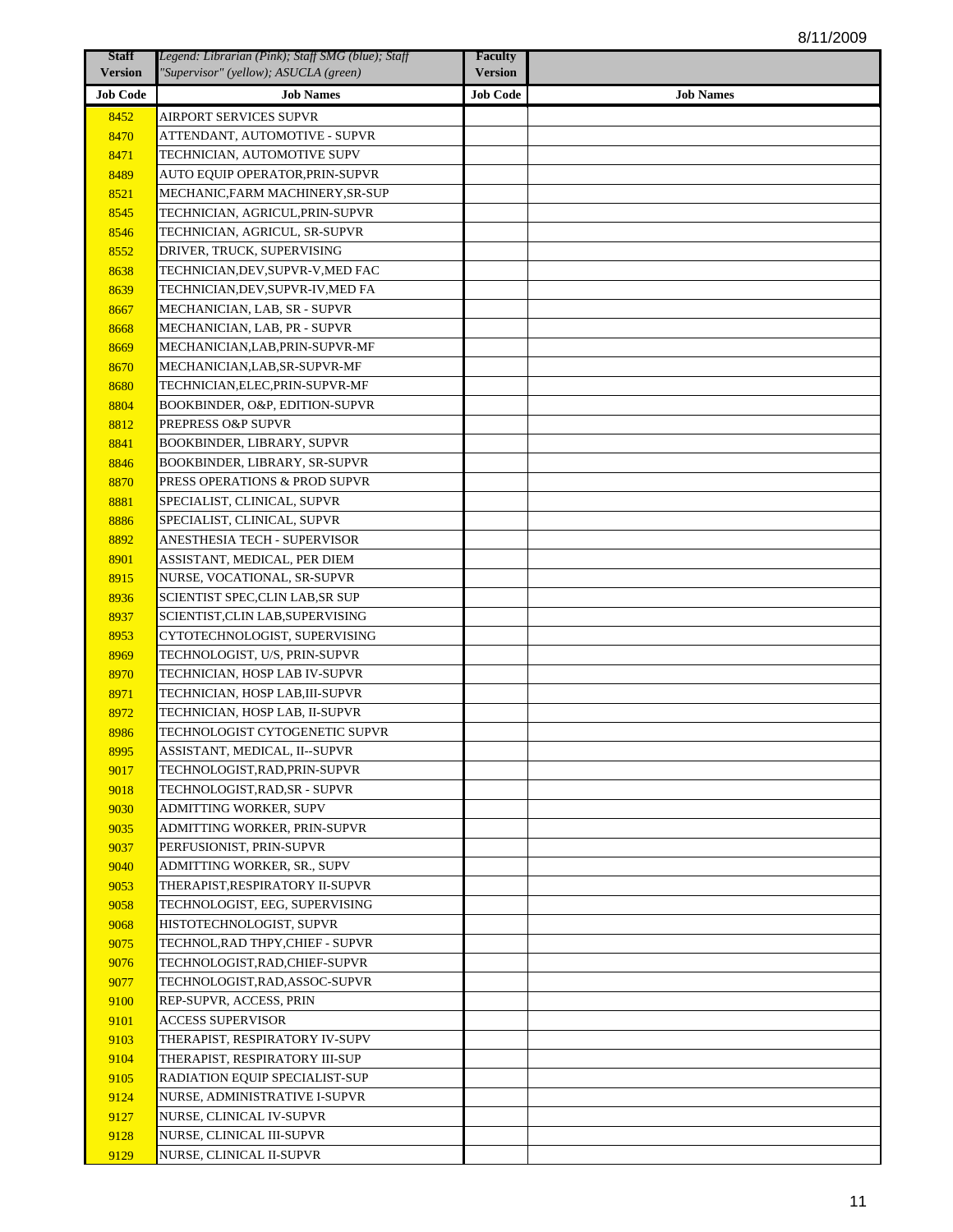| <b>Staff</b>    | Legend: Librarian (Pink); Staff SMG (blue); Staff | <b>Faculty</b>  |                  |
|-----------------|---------------------------------------------------|-----------------|------------------|
| <b>Version</b>  | "Supervisor" (yellow); ASUCLA (green)             | <b>Version</b>  |                  |
| <b>Job Code</b> | <b>Job Names</b>                                  | <b>Job Code</b> | <b>Job Names</b> |
| 8452            | AIRPORT SERVICES SUPVR                            |                 |                  |
| 8470            | ATTENDANT, AUTOMOTIVE - SUPVR                     |                 |                  |
| 8471            | TECHNICIAN, AUTOMOTIVE SUPV                       |                 |                  |
| 8489            | AUTO EQUIP OPERATOR,PRIN-SUPVR                    |                 |                  |
| 8521            | MECHANIC,FARM MACHINERY,SR-SUP                    |                 |                  |
| 8545            | TECHNICIAN, AGRICUL,PRIN-SUPVR                    |                 |                  |
| 8546            | TECHNICIAN, AGRICUL, SR-SUPVR                     |                 |                  |
| 8552            | DRIVER, TRUCK, SUPERVISING                        |                 |                  |
| 8638            | TECHNICIAN,DEV,SUPVR-V,MED FAC                    |                 |                  |
| 8639            | TECHNICIAN,DEV,SUPVR-IV,MED FA                    |                 |                  |
| 8667            | MECHANICIAN, LAB, SR - SUPVR                      |                 |                  |
| 8668            | MECHANICIAN, LAB, PR - SUPVR                      |                 |                  |
| 8669            | MECHANICIAN,LAB,PRIN-SUPVR-MF                     |                 |                  |
| 8670            | MECHANICIAN,LAB,SR-SUPVR-MF                       |                 |                  |
| 8680            | TECHNICIAN,ELEC,PRIN-SUPVR-MF                     |                 |                  |
| 8804            | BOOKBINDER, O&P, EDITION-SUPVR                    |                 |                  |
| 8812            | PREPRESS O&P SUPVR                                |                 |                  |
| 8841            | BOOKBINDER, LIBRARY, SUPVR                        |                 |                  |
| 8846            | BOOKBINDER, LIBRARY, SR-SUPVR                     |                 |                  |
| 8870            | PRESS OPERATIONS & PROD SUPVR                     |                 |                  |
| 8881            | SPECIALIST, CLINICAL, SUPVR                       |                 |                  |
| 8886            | SPECIALIST, CLINICAL, SUPVR                       |                 |                  |
| 8892            | ANESTHESIA TECH - SUPERVISOR                      |                 |                  |
| 8901            | ASSISTANT, MEDICAL, PER DIEM                      |                 |                  |
| 8915            | NURSE, VOCATIONAL, SR-SUPVR                       |                 |                  |
| 8936            | SCIENTIST SPEC,CLIN LAB,SR SUP                    |                 |                  |
| 8937            | SCIENTIST,CLIN LAB,SUPERVISING                    |                 |                  |
| 8953            | CYTOTECHNOLOGIST, SUPERVISING                     |                 |                  |
| 8969            | TECHNOLOGIST, U/S, PRIN-SUPVR                     |                 |                  |
| 8970            | TECHNICIAN, HOSP LAB IV-SUPVR                     |                 |                  |
| 8971            | TECHNICIAN, HOSP LAB,III-SUPVR                    |                 |                  |
| 8972            | TECHNICIAN, HOSP LAB, II-SUPVR                    |                 |                  |
| 8986            | TECHNOLOGIST CYTOGENETIC SUPVR                    |                 |                  |
| 8995            | ASSISTANT, MEDICAL, II--SUPVR                     |                 |                  |
| 9017            | TECHNOLOGIST,RAD,PRIN-SUPVR                       |                 |                  |
| 9018            | TECHNOLOGIST,RAD,SR - SUPVR                       |                 |                  |
| 9030            | ADMITTING WORKER, SUPV                            |                 |                  |
| 9035            | ADMITTING WORKER, PRIN-SUPVR                      |                 |                  |
| 9037            | PERFUSIONIST, PRIN-SUPVR                          |                 |                  |
| 9040            | ADMITTING WORKER, SR., SUPV                       |                 |                  |
| 9053            | THERAPIST,RESPIRATORY II-SUPVR                    |                 |                  |
| 9058            | TECHNOLOGIST, EEG, SUPERVISING                    |                 |                  |
| 9068            | HISTOTECHNOLOGIST, SUPVR                          |                 |                  |
| 9075            | TECHNOL, RAD THPY, CHIEF - SUPVR                  |                 |                  |
| 9076            | TECHNOLOGIST,RAD,CHIEF-SUPVR                      |                 |                  |
| 9077            | TECHNOLOGIST,RAD,ASSOC-SUPVR                      |                 |                  |
| 9100            | REP-SUPVR, ACCESS, PRIN                           |                 |                  |
| 9101            | ACCESS SUPERVISOR                                 |                 |                  |
| 9103            | THERAPIST, RESPIRATORY IV-SUPV                    |                 |                  |
| 9104            | THERAPIST, RESPIRATORY III-SUP                    |                 |                  |
| 9105            | RADIATION EQUIP SPECIALIST-SUP                    |                 |                  |
| 9124            | NURSE, ADMINISTRATIVE I-SUPVR                     |                 |                  |
| 9127            | NURSE, CLINICAL IV-SUPVR                          |                 |                  |
| 9128            | NURSE, CLINICAL III-SUPVR                         |                 |                  |
| 9129            | NURSE, CLINICAL II-SUPVR                          |                 |                  |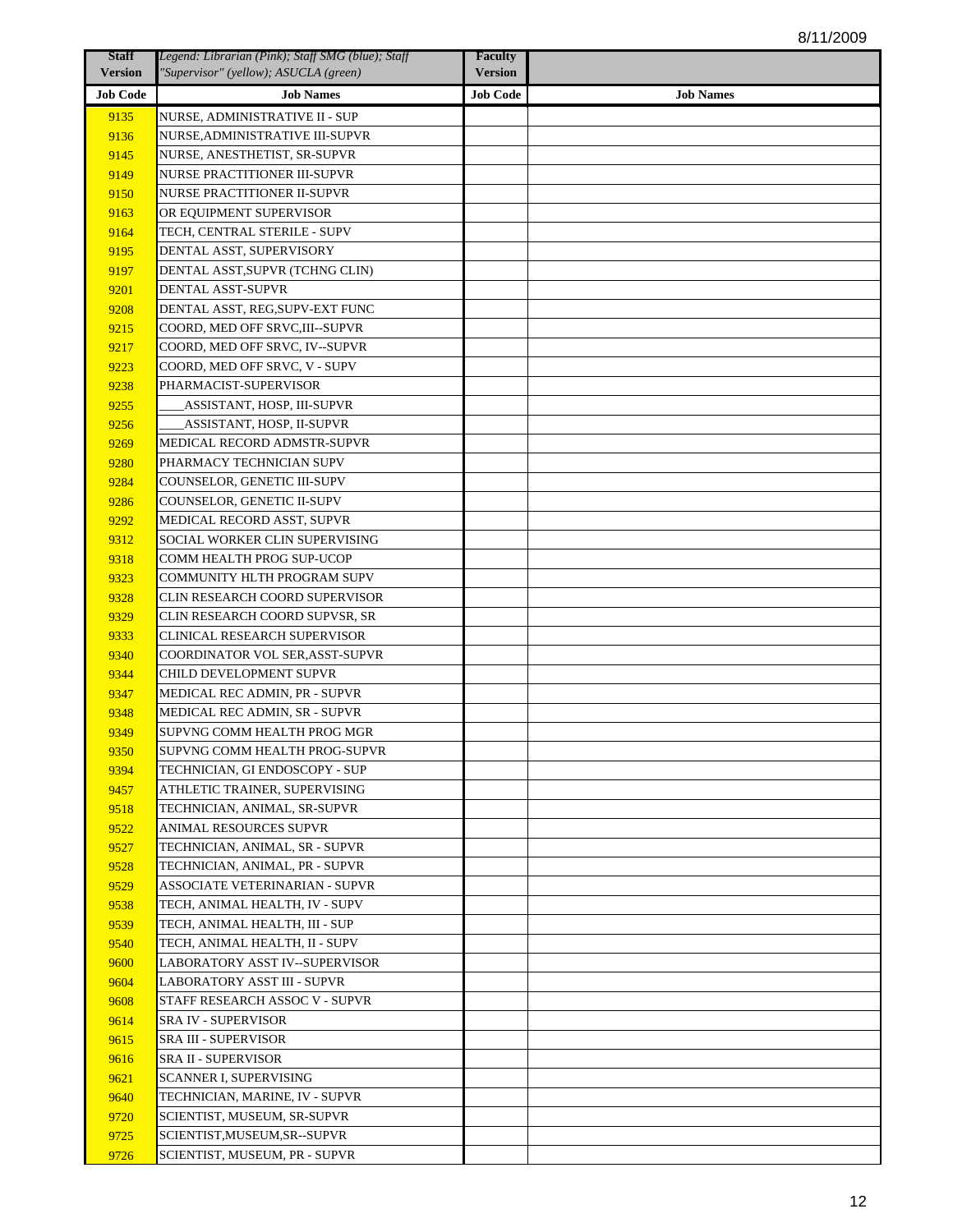| <b>Staff</b>    | Legend: Librarian (Pink); Staff SMG (blue); Staff | <b>Faculty</b>  |                  |
|-----------------|---------------------------------------------------|-----------------|------------------|
| <b>Version</b>  | "Supervisor" (yellow); ASUCLA (green)             | <b>Version</b>  |                  |
| <b>Job Code</b> | <b>Job Names</b>                                  | <b>Job Code</b> | <b>Job Names</b> |
| 9135            | NURSE, ADMINISTRATIVE II - SUP                    |                 |                  |
| 9136            | NURSE.ADMINISTRATIVE III-SUPVR                    |                 |                  |
| 9145            | NURSE, ANESTHETIST, SR-SUPVR                      |                 |                  |
| 9149            | NURSE PRACTITIONER III-SUPVR                      |                 |                  |
| 9150            | NURSE PRACTITIONER II-SUPVR                       |                 |                  |
| 9163            | OR EOUIPMENT SUPERVISOR                           |                 |                  |
| 9164            | TECH, CENTRAL STERILE - SUPV                      |                 |                  |
| 9195            | DENTAL ASST, SUPERVISORY                          |                 |                  |
| 9197            | DENTAL ASST,SUPVR (TCHNG CLIN)                    |                 |                  |
| 9201            | DENTAL ASST-SUPVR                                 |                 |                  |
| 9208            | DENTAL ASST, REG,SUPV-EXT FUNC                    |                 |                  |
| 9215            | COORD, MED OFF SRVC,III--SUPVR                    |                 |                  |
| 9217            | COORD, MED OFF SRVC, IV--SUPVR                    |                 |                  |
| 9223            | COORD, MED OFF SRVC, V - SUPV                     |                 |                  |
| 9238            | PHARMACIST-SUPERVISOR                             |                 |                  |
| 9255            | ASSISTANT, HOSP, III-SUPVR                        |                 |                  |
| 9256            | ASSISTANT, HOSP, II-SUPVR                         |                 |                  |
| 9269            | MEDICAL RECORD ADMSTR-SUPVR                       |                 |                  |
| 9280            | PHARMACY TECHNICIAN SUPV                          |                 |                  |
| 9284            | COUNSELOR, GENETIC III-SUPV                       |                 |                  |
| 9286            | COUNSELOR, GENETIC II-SUPV                        |                 |                  |
| 9292            | MEDICAL RECORD ASST, SUPVR                        |                 |                  |
| 9312            | SOCIAL WORKER CLIN SUPERVISING                    |                 |                  |
| 9318            | COMM HEALTH PROG SUP-UCOP                         |                 |                  |
| 9323            | COMMUNITY HLTH PROGRAM SUPV                       |                 |                  |
| 9328            | CLIN RESEARCH COORD SUPERVISOR                    |                 |                  |
| 9329            | CLIN RESEARCH COORD SUPVSR, SR                    |                 |                  |
| 9333            | CLINICAL RESEARCH SUPERVISOR                      |                 |                  |
| 9340            | COORDINATOR VOL SER, ASST-SUPVR                   |                 |                  |
| 9344            | CHILD DEVELOPMENT SUPVR                           |                 |                  |
| 9347            | MEDICAL REC ADMIN, PR - SUPVR                     |                 |                  |
| 9348            | MEDICAL REC ADMIN, SR - SUPVR                     |                 |                  |
| 9349            | SUPVNG COMM HEALTH PROG MGR                       |                 |                  |
| 9350            | SUPVNG COMM HEALTH PROG-SUPVR                     |                 |                  |
| 9394            | TECHNICIAN, GI ENDOSCOPY - SUP                    |                 |                  |
| 9457            | ATHLETIC TRAINER, SUPERVISING                     |                 |                  |
| 9518            | TECHNICIAN, ANIMAL, SR-SUPVR                      |                 |                  |
| 9522            | ANIMAL RESOURCES SUPVR                            |                 |                  |
| 9527            | TECHNICIAN, ANIMAL, SR - SUPVR                    |                 |                  |
| 9528            | TECHNICIAN, ANIMAL, PR - SUPVR                    |                 |                  |
| 9529            | ASSOCIATE VETERINARIAN - SUPVR                    |                 |                  |
| 9538            | TECH, ANIMAL HEALTH, IV - SUPV                    |                 |                  |
| 9539            | TECH, ANIMAL HEALTH, III - SUP                    |                 |                  |
| 9540            | TECH, ANIMAL HEALTH, II - SUPV                    |                 |                  |
| 9600            | LABORATORY ASST IV--SUPERVISOR                    |                 |                  |
| 9604            | LABORATORY ASST III - SUPVR                       |                 |                  |
| 9608            | STAFF RESEARCH ASSOC V - SUPVR                    |                 |                  |
| 9614            | SRA IV - SUPERVISOR                               |                 |                  |
| 9615            | SRA III - SUPERVISOR                              |                 |                  |
| 9616            | SRA II - SUPERVISOR                               |                 |                  |
| 9621            | SCANNER I, SUPERVISING                            |                 |                  |
| 9640            | TECHNICIAN, MARINE, IV - SUPVR                    |                 |                  |
| 9720            | SCIENTIST, MUSEUM, SR-SUPVR                       |                 |                  |
| 9725            | SCIENTIST,MUSEUM,SR--SUPVR                        |                 |                  |
| 9726            | SCIENTIST, MUSEUM, PR - SUPVR                     |                 |                  |